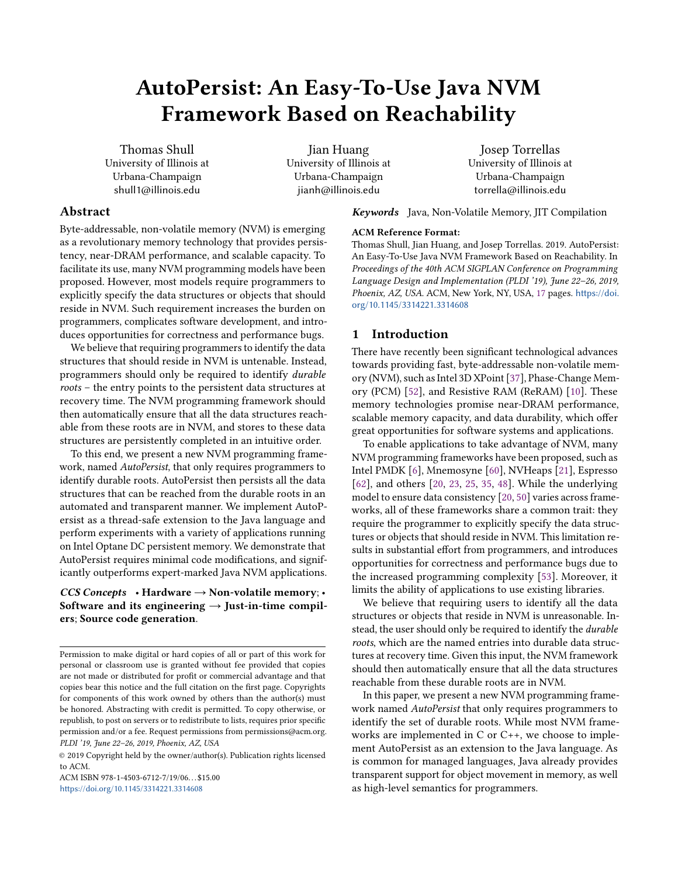# AutoPersist: An Easy-To-Use Java NVM Framework Based on Reachability

Thomas Shull University of Illinois at Urbana-Champaign shull1@illinois.edu

Jian Huang University of Illinois at Urbana-Champaign jianh@illinois.edu

Josep Torrellas University of Illinois at Urbana-Champaign torrella@illinois.edu

# Abstract

Byte-addressable, non-volatile memory (NVM) is emerging as a revolutionary memory technology that provides persistency, near-DRAM performance, and scalable capacity. To facilitate its use, many NVM programming models have been proposed. However, most models require programmers to explicitly specify the data structures or objects that should reside in NVM. Such requirement increases the burden on programmers, complicates software development, and introduces opportunities for correctness and performance bugs.

We believe that requiring programmers to identify the data structures that should reside in NVM is untenable. Instead, programmers should only be required to identify durable roots – the entry points to the persistent data structures at recovery time. The NVM programming framework should then automatically ensure that all the data structures reachable from these roots are in NVM, and stores to these data structures are persistently completed in an intuitive order.

To this end, we present a new NVM programming framework, named AutoPersist, that only requires programmers to identify durable roots. AutoPersist then persists all the data structures that can be reached from the durable roots in an automated and transparent manner. We implement AutoPersist as a thread-safe extension to the Java language and perform experiments with a variety of applications running on Intel Optane DC persistent memory. We demonstrate that AutoPersist requires minimal code modifications, and significantly outperforms expert-marked Java NVM applications.

 $CCS$  Concepts • Hardware  $\rightarrow$  Non-volatile memory; • Software and its engineering  $\rightarrow$  Just-in-time compilers; Source code generation.

ACM ISBN 978-1-4503-6712-7/19/06. . . \$15.00 <https://doi.org/10.1145/3314221.3314608>

Keywords Java, Non-Volatile Memory, JIT Compilation

#### ACM Reference Format:

Thomas Shull, Jian Huang, and Josep Torrellas. 2019. AutoPersist: An Easy-To-Use Java NVM Framework Based on Reachability. In Proceedings of the 40th ACM SIGPLAN Conference on Programming Language Design and Implementation (PLDI '19), June 22–26, 2019, Phoenix, AZ, USA. ACM, New York, NY, USA, [17](#page-16-0) pages. [https://doi.](https://doi.org/10.1145/3314221.3314608) [org/10.1145/3314221.3314608](https://doi.org/10.1145/3314221.3314608)

# 1 Introduction

There have recently been significant technological advances towards providing fast, byte-addressable non-volatile memory (NVM), such as Intel 3D XPoint [\[37\]](#page-15-0), Phase-Change Memory (PCM) [\[52\]](#page-15-1), and Resistive RAM (ReRAM) [\[10\]](#page-14-0). These memory technologies promise near-DRAM performance, scalable memory capacity, and data durability, which offer great opportunities for software systems and applications.

To enable applications to take advantage of NVM, many NVM programming frameworks have been proposed, such as Intel PMDK [\[6\]](#page-14-1), Mnemosyne [\[60\]](#page-15-2), NVHeaps [\[21\]](#page-14-2), Espresso [\[62\]](#page-16-1), and others [\[20,](#page-14-3) [23,](#page-14-4) [25,](#page-14-5) [35,](#page-15-3) [48\]](#page-15-4). While the underlying model to ensure data consistency [\[20,](#page-14-3) [50\]](#page-15-5) varies across frameworks, all of these frameworks share a common trait: they require the programmer to explicitly specify the data structures or objects that should reside in NVM. This limitation results in substantial effort from programmers, and introduces opportunities for correctness and performance bugs due to the increased programming complexity [\[53\]](#page-15-6). Moreover, it limits the ability of applications to use existing libraries.

We believe that requiring users to identify all the data structures or objects that reside in NVM is unreasonable. Instead, the user should only be required to identify the durable roots, which are the named entries into durable data structures at recovery time. Given this input, the NVM framework should then automatically ensure that all the data structures reachable from these durable roots are in NVM.

In this paper, we present a new NVM programming framework named AutoPersist that only requires programmers to identify the set of durable roots. While most NVM frameworks are implemented in C or C++, we choose to implement AutoPersist as an extension to the Java language. As is common for managed languages, Java already provides transparent support for object movement in memory, as well as high-level semantics for programmers.

Permission to make digital or hard copies of all or part of this work for personal or classroom use is granted without fee provided that copies are not made or distributed for profit or commercial advantage and that copies bear this notice and the full citation on the first page. Copyrights for components of this work owned by others than the author(s) must be honored. Abstracting with credit is permitted. To copy otherwise, or republish, to post on servers or to redistribute to lists, requires prior specific permission and/or a fee. Request permissions from permissions@acm.org. PLDI '19, June 22–26, 2019, Phoenix, AZ, USA

<sup>©</sup> 2019 Copyright held by the owner/author(s). Publication rights licensed to ACM.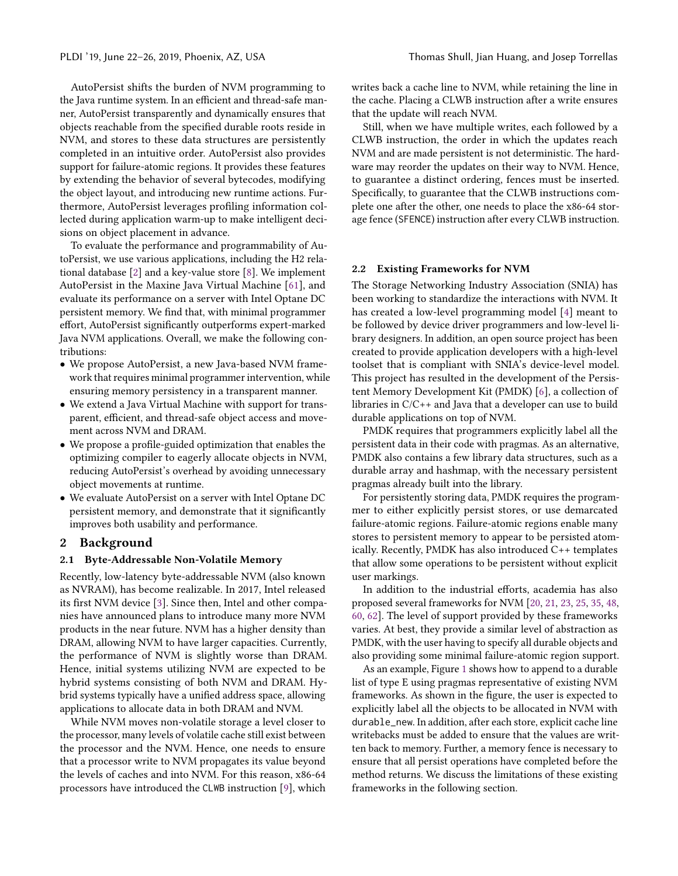AutoPersist shifts the burden of NVM programming to the Java runtime system. In an efficient and thread-safe manner, AutoPersist transparently and dynamically ensures that objects reachable from the specified durable roots reside in NVM, and stores to these data structures are persistently completed in an intuitive order. AutoPersist also provides support for failure-atomic regions. It provides these features by extending the behavior of several bytecodes, modifying the object layout, and introducing new runtime actions. Furthermore, AutoPersist leverages profiling information collected during application warm-up to make intelligent decisions on object placement in advance.

To evaluate the performance and programmability of AutoPersist, we use various applications, including the H2 relational database [\[2\]](#page-14-6) and a key-value store [\[8\]](#page-14-7). We implement AutoPersist in the Maxine Java Virtual Machine [\[61\]](#page-15-7), and evaluate its performance on a server with Intel Optane DC persistent memory. We find that, with minimal programmer effort, AutoPersist significantly outperforms expert-marked Java NVM applications. Overall, we make the following contributions:

- We propose AutoPersist, a new Java-based NVM framework that requires minimal programmer intervention, while ensuring memory persistency in a transparent manner.
- We extend a Java Virtual Machine with support for transparent, efficient, and thread-safe object access and movement across NVM and DRAM.
- We propose a profile-guided optimization that enables the optimizing compiler to eagerly allocate objects in NVM, reducing AutoPersist's overhead by avoiding unnecessary object movements at runtime.
- We evaluate AutoPersist on a server with Intel Optane DC persistent memory, and demonstrate that it significantly improves both usability and performance.

# 2 Background

#### 2.1 Byte-Addressable Non-Volatile Memory

Recently, low-latency byte-addressable NVM (also known as NVRAM), has become realizable. In 2017, Intel released its first NVM device [\[3\]](#page-14-8). Since then, Intel and other companies have announced plans to introduce many more NVM products in the near future. NVM has a higher density than DRAM, allowing NVM to have larger capacities. Currently, the performance of NVM is slightly worse than DRAM. Hence, initial systems utilizing NVM are expected to be hybrid systems consisting of both NVM and DRAM. Hybrid systems typically have a unified address space, allowing applications to allocate data in both DRAM and NVM.

While NVM moves non-volatile storage a level closer to the processor, many levels of volatile cache still exist between the processor and the NVM. Hence, one needs to ensure that a processor write to NVM propagates its value beyond the levels of caches and into NVM. For this reason, x86-64 processors have introduced the CLWB instruction [\[9\]](#page-14-9), which writes back a cache line to NVM, while retaining the line in the cache. Placing a CLWB instruction after a write ensures that the update will reach NVM.

Still, when we have multiple writes, each followed by a CLWB instruction, the order in which the updates reach NVM and are made persistent is not deterministic. The hardware may reorder the updates on their way to NVM. Hence, to guarantee a distinct ordering, fences must be inserted. Specifically, to guarantee that the CLWB instructions complete one after the other, one needs to place the x86-64 storage fence (SFENCE) instruction after every CLWB instruction.

### 2.2 Existing Frameworks for NVM

The Storage Networking Industry Association (SNIA) has been working to standardize the interactions with NVM. It has created a low-level programming model [\[4\]](#page-14-10) meant to be followed by device driver programmers and low-level library designers. In addition, an open source project has been created to provide application developers with a high-level toolset that is compliant with SNIA's device-level model. This project has resulted in the development of the Persistent Memory Development Kit (PMDK) [\[6\]](#page-14-1), a collection of libraries in C/C++ and Java that a developer can use to build durable applications on top of NVM.

PMDK requires that programmers explicitly label all the persistent data in their code with pragmas. As an alternative, PMDK also contains a few library data structures, such as a durable array and hashmap, with the necessary persistent pragmas already built into the library.

For persistently storing data, PMDK requires the programmer to either explicitly persist stores, or use demarcated failure-atomic regions. Failure-atomic regions enable many stores to persistent memory to appear to be persisted atomically. Recently, PMDK has also introduced C++ templates that allow some operations to be persistent without explicit user markings.

In addition to the industrial efforts, academia has also proposed several frameworks for NVM [\[20,](#page-14-3) [21,](#page-14-2) [23,](#page-14-4) [25,](#page-14-5) [35,](#page-15-3) [48,](#page-15-4) [60,](#page-15-2) [62\]](#page-16-1). The level of support provided by these frameworks varies. At best, they provide a similar level of abstraction as PMDK, with the user having to specify all durable objects and also providing some minimal failure-atomic region support.

As an example, Figure [1](#page-2-0) shows how to append to a durable list of type E using pragmas representative of existing NVM frameworks. As shown in the figure, the user is expected to explicitly label all the objects to be allocated in NVM with durable\_new. In addition, after each store, explicit cache line writebacks must be added to ensure that the values are written back to memory. Further, a memory fence is necessary to ensure that all persist operations have completed before the method returns. We discuss the limitations of these existing frameworks in the following section.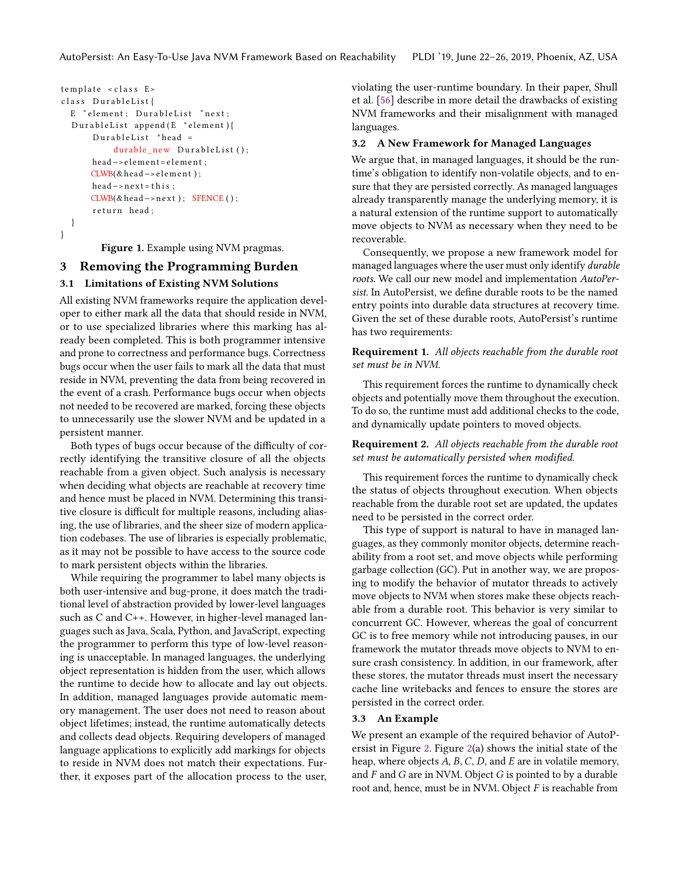```
template < class E>
class DurableList{
  E *element: DurableList *next:
  DurableList append(E *element){
      DurableList * head =durable new DurableList ();
      head -> element = element;
      CLWB(& head -> element);
      head \rightarrow next = this;
      CLWB(& head->next); SFENCE();
      return head;
 }
}
```
Figure 1. Example using NVM pragmas.

# 3 Removing the Programming Burden

#### <span id="page-2-2"></span>3.1 Limitations of Existing NVM Solutions

All existing NVM frameworks require the application developer to either mark all the data that should reside in NVM, or to use specialized libraries where this marking has already been completed. This is both programmer intensive and prone to correctness and performance bugs. Correctness bugs occur when the user fails to mark all the data that must reside in NVM, preventing the data from being recovered in the event of a crash. Performance bugs occur when objects not needed to be recovered are marked, forcing these objects to unnecessarily use the slower NVM and be updated in a persistent manner.

Both types of bugs occur because of the difficulty of correctly identifying the transitive closure of all the objects reachable from a given object. Such analysis is necessary when deciding what objects are reachable at recovery time and hence must be placed in NVM. Determining this transitive closure is difficult for multiple reasons, including aliasing, the use of libraries, and the sheer size of modern application codebases. The use of libraries is especially problematic, as it may not be possible to have access to the source code to mark persistent objects within the libraries.

While requiring the programmer to label many objects is both user-intensive and bug-prone, it does match the traditional level of abstraction provided by lower-level languages such as C and C++. However, in higher-level managed languages such as Java, Scala, Python, and JavaScript, expecting the programmer to perform this type of low-level reasoning is unacceptable. In managed languages, the underlying object representation is hidden from the user, which allows the runtime to decide how to allocate and lay out objects. In addition, managed languages provide automatic memory management. The user does not need to reason about object lifetimes; instead, the runtime automatically detects and collects dead objects. Requiring developers of managed language applications to explicitly add markings for objects to reside in NVM does not match their expectations. Further, it exposes part of the allocation process to the user,

violating the user-runtime boundary. In their paper, Shull et al. [\[56\]](#page-15-8) describe in more detail the drawbacks of existing NVM frameworks and their misalignment with managed languages.

#### 3.2 A New Framework for Managed Languages

We argue that, in managed languages, it should be the runtime's obligation to identify non-volatile objects, and to ensure that they are persisted correctly. As managed languages already transparently manage the underlying memory, it is a natural extension of the runtime support to automatically move objects to NVM as necessary when they need to be recoverable.

Consequently, we propose a new framework model for managed languages where the user must only identify durable roots. We call our new model and implementation AutoPersist. In AutoPersist, we define durable roots to be the named entry points into durable data structures at recovery time. Given the set of these durable roots, AutoPersist's runtime has two requirements:

# <span id="page-2-1"></span>Requirement 1. All objects reachable from the durable root set must be in NVM.

This requirement forces the runtime to dynamically check objects and potentially move them throughout the execution. To do so, the runtime must add additional checks to the code, and dynamically update pointers to moved objects.

# Requirement 2. All objects reachable from the durable root set must be automatically persisted when modified.

This requirement forces the runtime to dynamically check the status of objects throughout execution. When objects reachable from the durable root set are updated, the updates need to be persisted in the correct order.

This type of support is natural to have in managed languages, as they commonly monitor objects, determine reachability from a root set, and move objects while performing garbage collection (GC). Put in another way, we are proposing to modify the behavior of mutator threads to actively move objects to NVM when stores make these objects reachable from a durable root. This behavior is very similar to concurrent GC. However, whereas the goal of concurrent GC is to free memory while not introducing pauses, in our framework the mutator threads move objects to NVM to ensure crash consistency. In addition, in our framework, after these stores, the mutator threads must insert the necessary cache line writebacks and fences to ensure the stores are persisted in the correct order.

#### 3.3 An Example

We present an example of the required behavior of AutoPersist in Figure [2.](#page-3-0) Figure [2\(](#page-3-0)a) shows the initial state of the heap, where objects A, B, C, D, and E are in volatile memory, and  $F$  and  $G$  are in NVM. Object  $G$  is pointed to by a durable root and, hence, must be in NVM. Object F is reachable from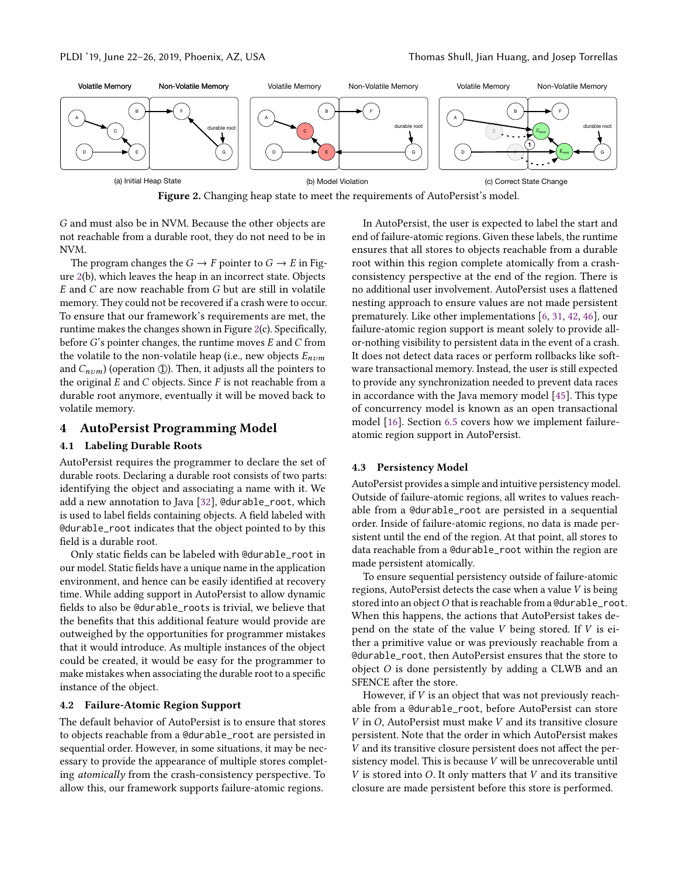<span id="page-3-0"></span>

Figure 2. Changing heap state to meet the requirements of AutoPersist's model.

G and must also be in NVM. Because the other objects are not reachable from a durable root, they do not need to be in NVM.

The program changes the  $G \to F$  pointer to  $G \to E$  in Figure [2\(](#page-3-0)b), which leaves the heap in an incorrect state. Objects E and C are now reachable from G but are still in volatile memory. They could not be recovered if a crash were to occur. To ensure that our framework's requirements are met, the runtime makes the changes shown in Figure [2\(](#page-3-0)c). Specifically, before G's pointer changes, the runtime moves E and C from the volatile to the non-volatile heap (i.e., new objects  $E_{nvm}$ and  $C_{nvm}$ ) (operation  $\circled{1}$ ). Then, it adjusts all the pointers to the original  $E$  and  $C$  objects. Since  $F$  is not reachable from a durable root anymore, eventually it will be moved back to volatile memory.

# 4 AutoPersist Programming Model

# 4.1 Labeling Durable Roots

AutoPersist requires the programmer to declare the set of durable roots. Declaring a durable root consists of two parts: identifying the object and associating a name with it. We add a new annotation to Java [\[32\]](#page-14-11), @durable\_root, which is used to label fields containing objects. A field labeled with @durable\_root indicates that the object pointed to by this field is a durable root.

Only static fields can be labeled with @durable\_root in our model. Static fields have a unique name in the application environment, and hence can be easily identified at recovery time. While adding support in AutoPersist to allow dynamic fields to also be @durable\_roots is trivial, we believe that the benefits that this additional feature would provide are outweighed by the opportunities for programmer mistakes that it would introduce. As multiple instances of the object could be created, it would be easy for the programmer to make mistakes when associating the durable root to a specific instance of the object.

# <span id="page-3-1"></span>4.2 Failure-Atomic Region Support

The default behavior of AutoPersist is to ensure that stores to objects reachable from a @durable\_root are persisted in sequential order. However, in some situations, it may be necessary to provide the appearance of multiple stores completing atomically from the crash-consistency perspective. To allow this, our framework supports failure-atomic regions.

In AutoPersist, the user is expected to label the start and end of failure-atomic regions. Given these labels, the runtime ensures that all stores to objects reachable from a durable root within this region complete atomically from a crashconsistency perspective at the end of the region. There is no additional user involvement. AutoPersist uses a flattened nesting approach to ensure values are not made persistent prematurely. Like other implementations [\[6,](#page-14-1) [31,](#page-14-12) [42,](#page-15-9) [46\]](#page-15-10), our failure-atomic region support is meant solely to provide allor-nothing visibility to persistent data in the event of a crash. It does not detect data races or perform rollbacks like software transactional memory. Instead, the user is still expected to provide any synchronization needed to prevent data races in accordance with the Java memory model [\[45\]](#page-15-11). This type of concurrency model is known as an open transactional model [\[16\]](#page-14-13). Section [6.5](#page-9-0) covers how we implement failureatomic region support in AutoPersist.

# <span id="page-3-2"></span>4.3 Persistency Model

AutoPersist provides a simple and intuitive persistency model. Outside of failure-atomic regions, all writes to values reachable from a @durable\_root are persisted in a sequential order. Inside of failure-atomic regions, no data is made persistent until the end of the region. At that point, all stores to data reachable from a @durable\_root within the region are made persistent atomically.

To ensure sequential persistency outside of failure-atomic regions, AutoPersist detects the case when a value  $V$  is being stored into an object  $O$  that is reachable from a  $@$ durable\_root. When this happens, the actions that AutoPersist takes depend on the state of the value  $V$  being stored. If  $V$  is either a primitive value or was previously reachable from a @durable\_root, then AutoPersist ensures that the store to object O is done persistently by adding a CLWB and an SFENCE after the store.

However, if V is an object that was not previously reachable from a @durable\_root, before AutoPersist can store V in O, AutoPersist must make V and its transitive closure persistent. Note that the order in which AutoPersist makes V and its transitive closure persistent does not affect the persistency model. This is because V will be unrecoverable until  $V$  is stored into  $O$ . It only matters that  $V$  and its transitive closure are made persistent before this store is performed.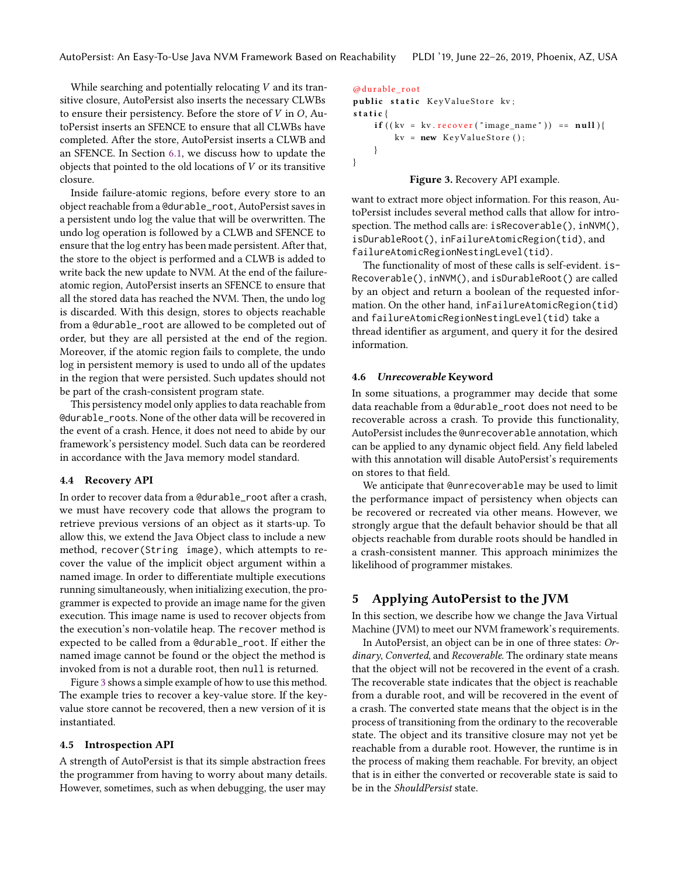While searching and potentially relocating V and its transitive closure, AutoPersist also inserts the necessary CLWBs to ensure their persistency. Before the store of V in O, AutoPersist inserts an SFENCE to ensure that all CLWBs have completed. After the store, AutoPersist inserts a CLWB and an SFENCE. In Section [6.1,](#page-6-0) we discuss how to update the objects that pointed to the old locations of V or its transitive closure.

Inside failure-atomic regions, before every store to an object reachable from a @durable\_root, AutoPersist saves in a persistent undo log the value that will be overwritten. The undo log operation is followed by a CLWB and SFENCE to ensure that the log entry has been made persistent. After that, the store to the object is performed and a CLWB is added to write back the new update to NVM. At the end of the failureatomic region, AutoPersist inserts an SFENCE to ensure that all the stored data has reached the NVM. Then, the undo log is discarded. With this design, stores to objects reachable from a @durable\_root are allowed to be completed out of order, but they are all persisted at the end of the region. Moreover, if the atomic region fails to complete, the undo log in persistent memory is used to undo all of the updates in the region that were persisted. Such updates should not be part of the crash-consistent program state.

This persistency model only applies to data reachable from @durable\_roots. None of the other data will be recovered in the event of a crash. Hence, it does not need to abide by our framework's persistency model. Such data can be reordered in accordance with the Java memory model standard.

#### 4.4 Recovery API

In order to recover data from a @durable\_root after a crash, we must have recovery code that allows the program to retrieve previous versions of an object as it starts-up. To allow this, we extend the Java Object class to include a new method, recover(String image), which attempts to recover the value of the implicit object argument within a named image. In order to differentiate multiple executions running simultaneously, when initializing execution, the programmer is expected to provide an image name for the given execution. This image name is used to recover objects from the execution's non-volatile heap. The recover method is expected to be called from a @durable\_root. If either the named image cannot be found or the object the method is invoked from is not a durable root, then null is returned.

Figure [3](#page-4-0) shows a simple example of how to use this method. The example tries to recover a key-value store. If the keyvalue store cannot be recovered, then a new version of it is instantiated.

#### 4.5 Introspection API

A strength of AutoPersist is that its simple abstraction frees the programmer from having to worry about many details. However, sometimes, such as when debugging, the user may

```
@durable_root
public static KeyValueStore kv;
s \cdot t \cdot i \cdotif ((kv = kv. \nrecover("image_name")) == null)kv = new Key ValueStore();
    }
}
```
#### Figure 3. Recovery API example.

want to extract more object information. For this reason, AutoPersist includes several method calls that allow for introspection. The method calls are: isRecoverable(), inNVM(), isDurableRoot(), inFailureAtomicRegion(tid), and failureAtomicRegionNestingLevel(tid).

The functionality of most of these calls is self-evident. is-Recoverable(), inNVM(), and isDurableRoot() are called by an object and return a boolean of the requested information. On the other hand, inFailureAtomicRegion(tid) and failureAtomicRegionNestingLevel(tid) take a thread identifier as argument, and query it for the desired information.

#### 4.6 Unrecoverable Keyword

In some situations, a programmer may decide that some data reachable from a @durable\_root does not need to be recoverable across a crash. To provide this functionality, AutoPersist includes the @unrecoverable annotation, which can be applied to any dynamic object field. Any field labeled with this annotation will disable AutoPersist's requirements on stores to that field.

We anticipate that @unrecoverable may be used to limit the performance impact of persistency when objects can be recovered or recreated via other means. However, we strongly argue that the default behavior should be that all objects reachable from durable roots should be handled in a crash-consistent manner. This approach minimizes the likelihood of programmer mistakes.

# 5 Applying AutoPersist to the JVM

In this section, we describe how we change the Java Virtual Machine (JVM) to meet our NVM framework's requirements.

In AutoPersist, an object can be in one of three states: Ordinary, Converted, and Recoverable. The ordinary state means that the object will not be recovered in the event of a crash. The recoverable state indicates that the object is reachable from a durable root, and will be recovered in the event of a crash. The converted state means that the object is in the process of transitioning from the ordinary to the recoverable state. The object and its transitive closure may not yet be reachable from a durable root. However, the runtime is in the process of making them reachable. For brevity, an object that is in either the converted or recoverable state is said to be in the ShouldPersist state.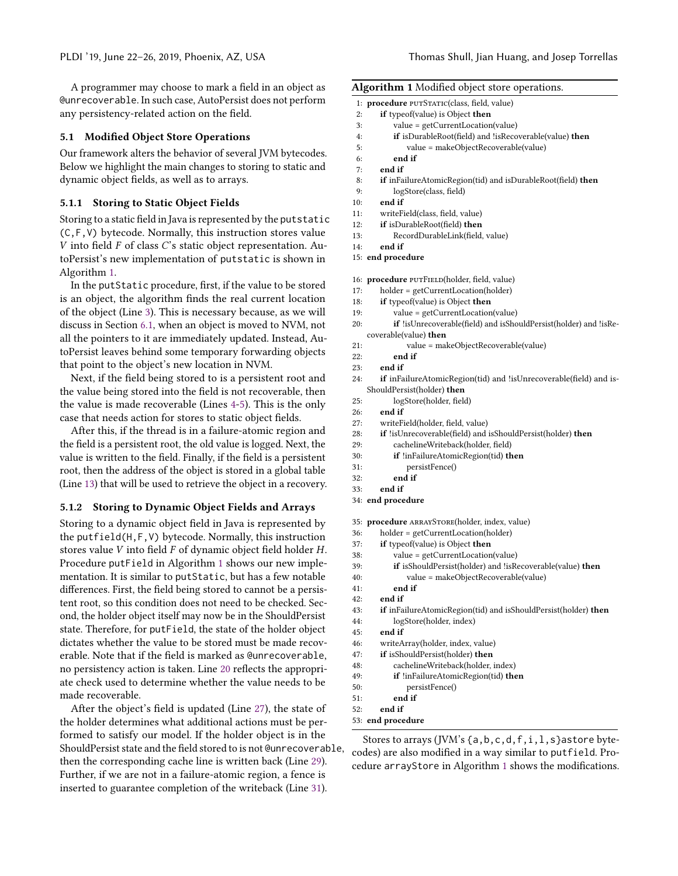A programmer may choose to mark a field in an object as @unrecoverable. In such case, AutoPersist does not perform any persistency-related action on the field.

# 5.1 Modified Object Store Operations

Our framework alters the behavior of several JVM bytecodes. Below we highlight the main changes to storing to static and dynamic object fields, as well as to arrays.

#### 5.1.1 Storing to Static Object Fields

Storing to a static field in Java is represented by the putstatic (C,F,V) bytecode. Normally, this instruction stores value  $V$  into field  $F$  of class  $C$ 's static object representation. AutoPersist's new implementation of putstatic is shown in Algorithm [1.](#page-5-0)

In the putStatic procedure, first, if the value to be stored is an object, the algorithm finds the real current location of the object (Line [3\)](#page-5-0). This is necessary because, as we will discuss in Section [6.1,](#page-6-0) when an object is moved to NVM, not all the pointers to it are immediately updated. Instead, AutoPersist leaves behind some temporary forwarding objects that point to the object's new location in NVM.

Next, if the field being stored to is a persistent root and the value being stored into the field is not recoverable, then the value is made recoverable (Lines [4-5\)](#page-5-0). This is the only case that needs action for stores to static object fields.

After this, if the thread is in a failure-atomic region and the field is a persistent root, the old value is logged. Next, the value is written to the field. Finally, if the field is a persistent root, then the address of the object is stored in a global table (Line [13\)](#page-5-0) that will be used to retrieve the object in a recovery.

#### 5.1.2 Storing to Dynamic Object Fields and Arrays

Storing to a dynamic object field in Java is represented by the putfield(H,F,V) bytecode. Normally, this instruction stores value V into field F of dynamic object field holder H. Procedure putField in Algorithm [1](#page-5-0) shows our new implementation. It is similar to putStatic, but has a few notable differences. First, the field being stored to cannot be a persistent root, so this condition does not need to be checked. Second, the holder object itself may now be in the ShouldPersist state. Therefore, for putField, the state of the holder object dictates whether the value to be stored must be made recoverable. Note that if the field is marked as @unrecoverable, no persistency action is taken. Line [20](#page-5-0) reflects the appropriate check used to determine whether the value needs to be made recoverable.

After the object's field is updated (Line [27\)](#page-5-0), the state of the holder determines what additional actions must be performed to satisfy our model. If the holder object is in the ShouldPersist state and the field stored to is not @unrecoverable, then the corresponding cache line is written back (Line [29\)](#page-5-0). Further, if we are not in a failure-atomic region, a fence is inserted to guarantee completion of the writeback (Line [31\)](#page-5-0).

#### <span id="page-5-0"></span>Algorithm 1 Modified object store operations.

- 1: procedure PUTSTATIC(class, field, value)
- 2: if typeof(value) is Object then
- 3: value = getCurrentLocation(value)
- 4: if isDurableRoot(field) and !isRecoverable(value) then
- 5: value = makeObjectRecoverable(value)
- 6: end if
- 7: end if
- 8: if inFailureAtomicRegion(tid) and isDurableRoot(field) then
- 9: logStore(class, field)
- 10: end if
- 11: writeField(class, field, value)
- 12: if isDurableRoot(field) then
- 13: RecordDurableLink(field, value)
- 14: end if
- 15: end procedure

16: procedure PUTFIELD(holder, field, value)

- 17: holder = getCurrentLocation(holder)
- 18: if typeof(value) is Object then
- 19: value = getCurrentLocation(value)
- 20: if !isUnrecoverable(field) and isShouldPersist(holder) and !isRecoverable(value) then
- 21: value = makeObjectRecoverable(value)
- 22: end if
- 23: end if
- 24: if inFailureAtomicRegion(tid) and !isUnrecoverable(field) and is-ShouldPersist(holder) then
- 25: logStore(holder, field)
- 26: end if
- 27: writeField(holder, field, value)
- 28: if !isUnrecoverable(field) and isShouldPersist(holder) then
- 29: cachelineWriteback(holder, field)
- 30: if !inFailureAtomicRegion(tid) then
- 31: persistFence()
- 32: end if
- 33: end if
- 34: end procedure

35: procedure arrayStore(holder, index, value)

- 36: holder = getCurrentLocation(holder)
- 37: if typeof(value) is Object then
- 38: value = getCurrentLocation(value)
- 39: if isShouldPersist(holder) and !isRecoverable(value) then
- 40: value = makeObjectRecoverable(value)
- 41: end if
- 42: end if
- 43: if inFailureAtomicRegion(tid) and isShouldPersist(holder) then
- 44: logStore(holder, index)
- 45: end if
- 46: writeArray(holder, index, value)
- 47: if isShouldPersist(holder) then
- 48: cachelineWriteback(holder, index)
- 49: **if** !inFailureAtomicRegion(tid) then
- 50: persistFence()
- $51:$  end if
- 52: end if
- 53: end procedure

Stores to arrays (JVM's {a,b,c,d,f,i,l,s}astore bytecodes) are also modified in a way similar to putfield. Procedure arrayStore in Algorithm [1](#page-5-0) shows the modifications.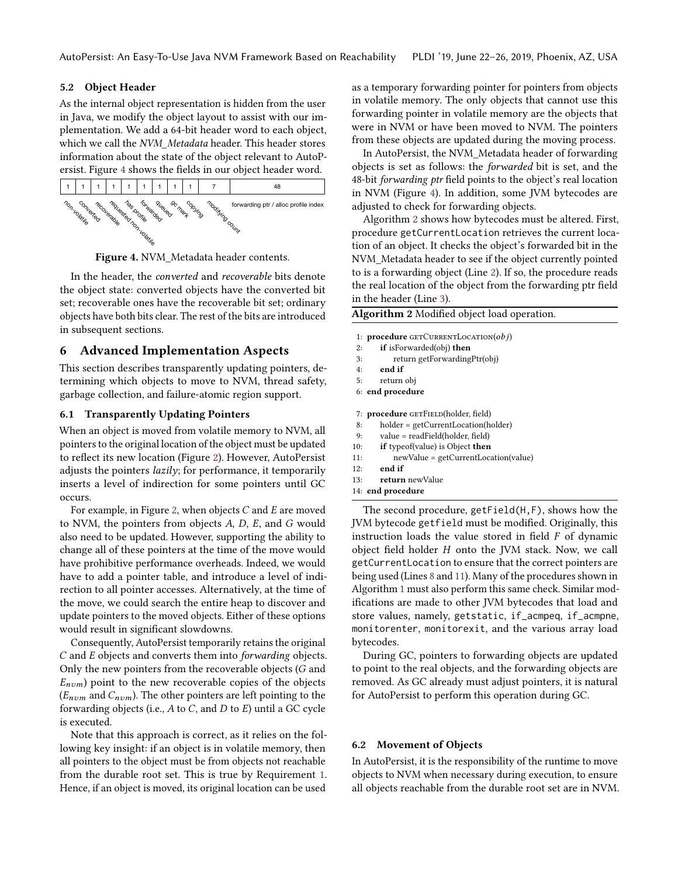#### 5.2 Object Header

As the internal object representation is hidden from the user in Java, we modify the object layout to assist with our implementation. We add a 64-bit header word to each object, which we call the NVM\_Metadata header. This header stores information about the state of the object relevant to AutoPersist. Figure [4](#page-6-1) shows the fields in our object header word.

<span id="page-6-1"></span>

Figure 4. NVM\_Metadata header contents.

In the header, the converted and recoverable bits denote the object state: converted objects have the converted bit set; recoverable ones have the recoverable bit set; ordinary objects have both bits clear. The rest of the bits are introduced in subsequent sections.

# 6 Advanced Implementation Aspects

This section describes transparently updating pointers, determining which objects to move to NVM, thread safety, garbage collection, and failure-atomic region support.

# <span id="page-6-0"></span>6.1 Transparently Updating Pointers

When an object is moved from volatile memory to NVM, all pointers to the original location of the object must be updated to reflect its new location (Figure [2\)](#page-3-0). However, AutoPersist adjusts the pointers  $lazily$ ; for performance, it temporarily inserts a level of indirection for some pointers until GC occurs.

For example, in Figure [2,](#page-3-0) when objects C and E are moved to NVM, the pointers from objects A, D, E, and G would also need to be updated. However, supporting the ability to change all of these pointers at the time of the move would have prohibitive performance overheads. Indeed, we would have to add a pointer table, and introduce a level of indirection to all pointer accesses. Alternatively, at the time of the move, we could search the entire heap to discover and update pointers to the moved objects. Either of these options would result in significant slowdowns.

Consequently, AutoPersist temporarily retains the original C and E objects and converts them into forwarding objects. Only the new pointers from the recoverable objects (G and  $E_{nvm}$ ) point to the new recoverable copies of the objects  $(E_{nvm}$  and  $C_{nvm}$ ). The other pointers are left pointing to the forwarding objects (i.e.,  $A$  to  $C$ , and  $D$  to  $E$ ) until a GC cycle is executed.

Note that this approach is correct, as it relies on the following key insight: if an object is in volatile memory, then all pointers to the object must be from objects not reachable from the durable root set. This is true by Requirement [1.](#page-2-1) Hence, if an object is moved, its original location can be used

as a temporary forwarding pointer for pointers from objects in volatile memory. The only objects that cannot use this forwarding pointer in volatile memory are the objects that were in NVM or have been moved to NVM. The pointers from these objects are updated during the moving process.

In AutoPersist, the NVM\_Metadata header of forwarding objects is set as follows: the forwarded bit is set, and the 48-bit forwarding ptr field points to the object's real location in NVM (Figure [4\)](#page-6-1). In addition, some JVM bytecodes are adjusted to check for forwarding objects.

Algorithm [2](#page-6-2) shows how bytecodes must be altered. First, procedure getCurrentLocation retrieves the current location of an object. It checks the object's forwarded bit in the NVM\_Metadata header to see if the object currently pointed to is a forwarding object (Line [2\)](#page-6-2). If so, the procedure reads the real location of the object from the forwarding ptr field in the header (Line [3\)](#page-6-2).

<span id="page-6-2"></span>

|     | <b>Algorithm 2</b> Modified object load operation. |
|-----|----------------------------------------------------|
|     | 1: <b>procedure</b> GETCURRENTLOCATION( $obj$ )    |
| 2:  | <b>if</b> is Forwarded(obj) <b>then</b>            |
| 3:  | return getForwardingPtr(obj)                       |
| 4:  | end if                                             |
| 5:  | return obj                                         |
|     | 6: end procedure                                   |
|     | 7: procedure GETFIELD(holder, field)               |
| 8:  | $holder = getCurrentLocation(holder)$              |
| 9:  | value = readField(holder, field)                   |
| 10: | <b>if</b> typeof(value) is Object <b>then</b>      |
| 11: | newValue = getCurrentLocation(value)               |
| 12: | end if                                             |
| 13: | return newValue                                    |
|     | 14: end procedure                                  |

The second procedure, getField(H,F), shows how the JVM bytecode getfield must be modified. Originally, this instruction loads the value stored in field F of dynamic object field holder H onto the JVM stack. Now, we call getCurrentLocation to ensure that the correct pointers are being used (Lines [8](#page-6-2) and [11\)](#page-6-2). Many of the procedures shown in Algorithm [1](#page-5-0) must also perform this same check. Similar modifications are made to other JVM bytecodes that load and store values, namely, getstatic, if\_acmpeq, if\_acmpne, monitorenter, monitorexit, and the various array load bytecodes.

During GC, pointers to forwarding objects are updated to point to the real objects, and the forwarding objects are removed. As GC already must adjust pointers, it is natural for AutoPersist to perform this operation during GC.

# 6.2 Movement of Objects

In AutoPersist, it is the responsibility of the runtime to move objects to NVM when necessary during execution, to ensure all objects reachable from the durable root set are in NVM.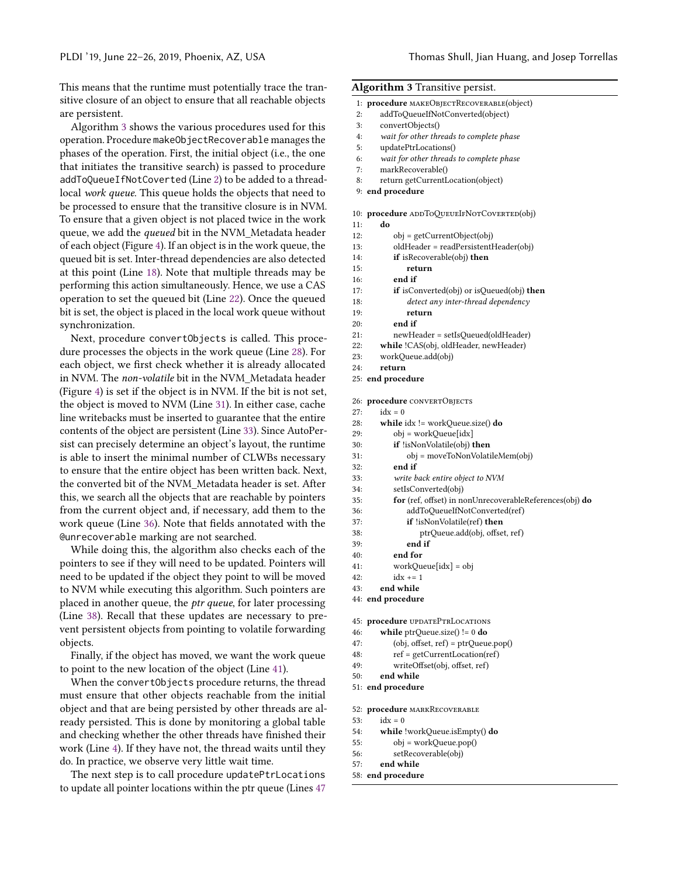This means that the runtime must potentially trace the transitive closure of an object to ensure that all reachable objects are persistent.

Algorithm [3](#page-7-0) shows the various procedures used for this operation. Procedure makeObjectRecoverable manages the phases of the operation. First, the initial object (i.e., the one that initiates the transitive search) is passed to procedure addToQueueIfNotCoverted (Line [2\)](#page-7-0) to be added to a threadlocal work queue. This queue holds the objects that need to be processed to ensure that the transitive closure is in NVM. To ensure that a given object is not placed twice in the work queue, we add the *queued* bit in the NVM\_Metadata header of each object (Figure [4\)](#page-6-1). If an object is in the work queue, the queued bit is set. Inter-thread dependencies are also detected at this point (Line [18\)](#page-7-0). Note that multiple threads may be performing this action simultaneously. Hence, we use a CAS operation to set the queued bit (Line [22\)](#page-7-0). Once the queued bit is set, the object is placed in the local work queue without synchronization.

Next, procedure convertObjects is called. This procedure processes the objects in the work queue (Line [28\)](#page-7-0). For each object, we first check whether it is already allocated in NVM. The non-volatile bit in the NVM\_Metadata header (Figure [4\)](#page-6-1) is set if the object is in NVM. If the bit is not set, the object is moved to NVM (Line [31\)](#page-7-0). In either case, cache line writebacks must be inserted to guarantee that the entire contents of the object are persistent (Line [33\)](#page-7-0). Since AutoPersist can precisely determine an object's layout, the runtime is able to insert the minimal number of CLWBs necessary to ensure that the entire object has been written back. Next, the converted bit of the NVM\_Metadata header is set. After this, we search all the objects that are reachable by pointers from the current object and, if necessary, add them to the work queue (Line [36\)](#page-7-0). Note that fields annotated with the @unrecoverable marking are not searched.

While doing this, the algorithm also checks each of the pointers to see if they will need to be updated. Pointers will need to be updated if the object they point to will be moved to NVM while executing this algorithm. Such pointers are placed in another queue, the ptr queue, for later processing (Line [38\)](#page-7-0). Recall that these updates are necessary to prevent persistent objects from pointing to volatile forwarding objects.

Finally, if the object has moved, we want the work queue to point to the new location of the object (Line [41\)](#page-7-0).

When the convertObjects procedure returns, the thread must ensure that other objects reachable from the initial object and that are being persisted by other threads are already persisted. This is done by monitoring a global table and checking whether the other threads have finished their work (Line [4\)](#page-7-0). If they have not, the thread waits until they do. In practice, we observe very little wait time.

The next step is to call procedure updatePtrLocations to update all pointer locations within the ptr queue (Lines [47](#page-7-0)

<span id="page-7-0"></span>

|     | <b>Algorithm 3 Transitive persist.</b>                                |  |  |  |  |
|-----|-----------------------------------------------------------------------|--|--|--|--|
|     | 1: <b>procedure</b> MAKEOBJECTRECOVERABLE(object)                     |  |  |  |  |
| 2:  | addToQueueIfNotConverted(object)                                      |  |  |  |  |
| 3:  | convertObjects()                                                      |  |  |  |  |
| 4:  | wait for other threads to complete phase                              |  |  |  |  |
| 5:  | updatePtrLocations()                                                  |  |  |  |  |
| 6:  | wait for other threads to complete phase                              |  |  |  |  |
| 7:  | markRecoverable()                                                     |  |  |  |  |
| 8:  | return getCurrentLocation(object)                                     |  |  |  |  |
|     | 9: end procedure                                                      |  |  |  |  |
|     |                                                                       |  |  |  |  |
|     | 10: procedure ADDTOQUEUEIFNOTCOVERTED(obj)                            |  |  |  |  |
| 11: | do                                                                    |  |  |  |  |
| 12: | obj = getCurrentObject(obj)                                           |  |  |  |  |
| 13: | oldHeader = readPersistentHeader(obj)                                 |  |  |  |  |
| 14: | <b>if</b> isRecoverable(obj) <b>then</b>                              |  |  |  |  |
| 15: | return                                                                |  |  |  |  |
| 16: | end if                                                                |  |  |  |  |
| 17: | if isConverted(obj) or isQueued(obj) then                             |  |  |  |  |
| 18: | detect any inter-thread dependency                                    |  |  |  |  |
| 19: | return                                                                |  |  |  |  |
| 20: | end if                                                                |  |  |  |  |
| 21: | newHeader = setIsQueued(oldHeader)                                    |  |  |  |  |
| 22: | while !CAS(obj, oldHeader, newHeader)                                 |  |  |  |  |
| 23: | workQueue.add(obj)                                                    |  |  |  |  |
| 24: | return                                                                |  |  |  |  |
|     | 25: end procedure                                                     |  |  |  |  |
|     | 26: procedure CONVERTOBJECTS                                          |  |  |  |  |
| 27: | $idx = 0$                                                             |  |  |  |  |
| 28: | while $idx$ ! = workQueue.size() do                                   |  |  |  |  |
| 29: | $obj = workQueue$ [idx]                                               |  |  |  |  |
| 30: | <b>if</b> !isNonVolatile(obj) <b>then</b>                             |  |  |  |  |
| 31: | obj = moveToNonVolatileMem(obj)                                       |  |  |  |  |
| 32: | end if                                                                |  |  |  |  |
| 33: | write back entire object to NVM                                       |  |  |  |  |
| 34: | setIsConverted(obj)                                                   |  |  |  |  |
| 35: | <b>for</b> (ref, offset) in nonUnrecoverableReferences(obj) <b>do</b> |  |  |  |  |
| 36: | addToQueueIfNotConverted(ref)                                         |  |  |  |  |
| 37: | <b>if</b> !isNonVolatile(ref) <b>then</b>                             |  |  |  |  |
| 38: | ptrQueue.add(obj, offset, ref)                                        |  |  |  |  |
| 39: | end if                                                                |  |  |  |  |
| 40: | end for                                                               |  |  |  |  |
| 41: | $workQueue[idx] = obj$                                                |  |  |  |  |
| 42: | $idx += 1$                                                            |  |  |  |  |
| 43: | end while                                                             |  |  |  |  |
|     | 44: end procedure                                                     |  |  |  |  |
|     |                                                                       |  |  |  |  |
|     | 45: procedure UPDATEPTRLOCATIONS                                      |  |  |  |  |

- 46: while ptrQueue.size() !=  $0$  do
- 47: (obj, offset, ref) = ptrQueue.pop()
- 48: ref = getCurrentLocation(ref)
- 49: writeOffset(obj, offset, ref)
- 50: end while
- 51: end procedure

52: procedure markRecoverable

- 53:  $idx = 0$
- 54: while !workQueue.isEmpty() do
- 55: obj = workQueue.pop()
- 56: setRecoverable(obj)
- 57: end while

```
58: end procedure
```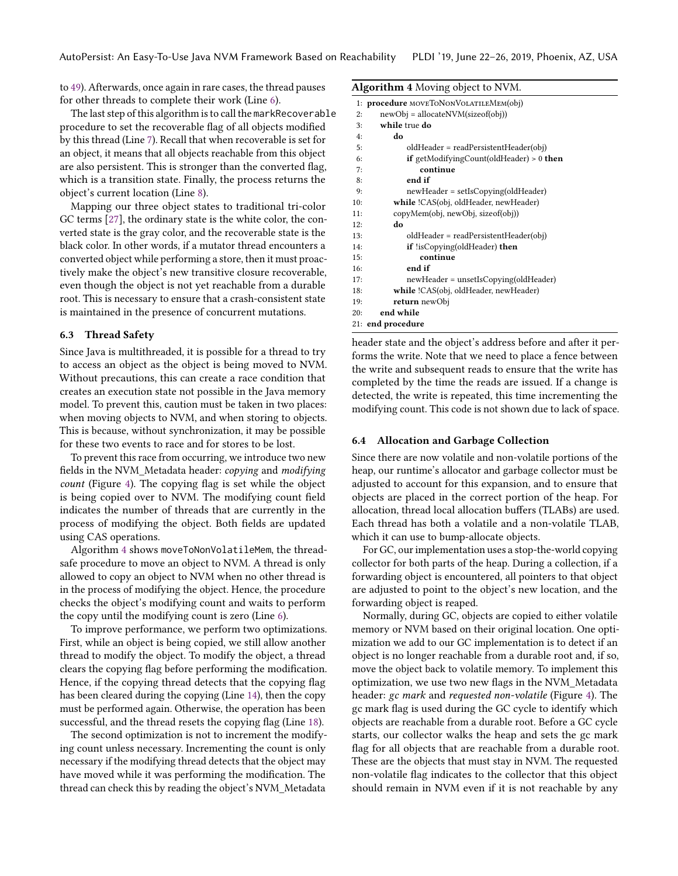to [49\)](#page-7-0). Afterwards, once again in rare cases, the thread pauses for other threads to complete their work (Line [6\)](#page-7-0).

The last step of this algorithm is to call the markRecoverable procedure to set the recoverable flag of all objects modified by this thread (Line [7\)](#page-7-0). Recall that when recoverable is set for an object, it means that all objects reachable from this object are also persistent. This is stronger than the converted flag, which is a transition state. Finally, the process returns the object's current location (Line [8\)](#page-7-0).

Mapping our three object states to traditional tri-color GC terms [\[27\]](#page-14-14), the ordinary state is the white color, the converted state is the gray color, and the recoverable state is the black color. In other words, if a mutator thread encounters a converted object while performing a store, then it must proactively make the object's new transitive closure recoverable, even though the object is not yet reachable from a durable root. This is necessary to ensure that a crash-consistent state is maintained in the presence of concurrent mutations.

#### 6.3 Thread Safety

Since Java is multithreaded, it is possible for a thread to try to access an object as the object is being moved to NVM. Without precautions, this can create a race condition that creates an execution state not possible in the Java memory model. To prevent this, caution must be taken in two places: when moving objects to NVM, and when storing to objects. This is because, without synchronization, it may be possible for these two events to race and for stores to be lost.

To prevent this race from occurring, we introduce two new fields in the NVM\_Metadata header: copying and modifying count (Figure [4\)](#page-6-1). The copying flag is set while the object is being copied over to NVM. The modifying count field indicates the number of threads that are currently in the process of modifying the object. Both fields are updated using CAS operations.

Algorithm [4](#page-8-0) shows moveToNonVolatileMem, the threadsafe procedure to move an object to NVM. A thread is only allowed to copy an object to NVM when no other thread is in the process of modifying the object. Hence, the procedure checks the object's modifying count and waits to perform the copy until the modifying count is zero (Line [6\)](#page-8-0).

To improve performance, we perform two optimizations. First, while an object is being copied, we still allow another thread to modify the object. To modify the object, a thread clears the copying flag before performing the modification. Hence, if the copying thread detects that the copying flag has been cleared during the copying (Line [14\)](#page-8-0), then the copy must be performed again. Otherwise, the operation has been successful, and the thread resets the copying flag (Line [18\)](#page-8-0).

The second optimization is not to increment the modifying count unless necessary. Incrementing the count is only necessary if the modifying thread detects that the object may have moved while it was performing the modification. The thread can check this by reading the object's NVM\_Metadata

<span id="page-8-0"></span>Algorithm 4 Moving object to NVM.

|     | 1: procedure MOVETONONVOLATILEMEM(obj)            |  |  |  |  |
|-----|---------------------------------------------------|--|--|--|--|
| 2:  | $newObj = allocateNUM(sizeof(obj))$               |  |  |  |  |
| 3:  | while true do                                     |  |  |  |  |
| 4:  | do                                                |  |  |  |  |
| 5:  | oldHeader = readPersistentHeader(obj)             |  |  |  |  |
| 6:  | <b>if</b> getModifyingCount(oldHeader) $> 0$ then |  |  |  |  |
| 7:  | continue                                          |  |  |  |  |
| 8:  | end if                                            |  |  |  |  |
| 9:  | $newHeader = setIsCopying (oldHeader)$            |  |  |  |  |
| 10: | while !CAS(obj, oldHeader, newHeader)             |  |  |  |  |
| 11: | copyMem(obj, newObj, sizeof(obj))                 |  |  |  |  |
| 12: | do                                                |  |  |  |  |
| 13: | oldHeader = readPersistentHeader(obj)             |  |  |  |  |
| 14: | <b>if</b> !isCopying(oldHeader) <b>then</b>       |  |  |  |  |
| 15: | continue                                          |  |  |  |  |
| 16: | end if                                            |  |  |  |  |
| 17: | $newHeader = unsetIsCopying (oldHeader)$          |  |  |  |  |
| 18: | while !CAS(obj, oldHeader, newHeader)             |  |  |  |  |
| 19: | <b>return</b> newObj                              |  |  |  |  |
| 20: | end while                                         |  |  |  |  |
|     | 21: end procedure                                 |  |  |  |  |

header state and the object's address before and after it performs the write. Note that we need to place a fence between the write and subsequent reads to ensure that the write has completed by the time the reads are issued. If a change is detected, the write is repeated, this time incrementing the modifying count. This code is not shown due to lack of space.

## <span id="page-8-1"></span>6.4 Allocation and Garbage Collection

Since there are now volatile and non-volatile portions of the heap, our runtime's allocator and garbage collector must be adjusted to account for this expansion, and to ensure that objects are placed in the correct portion of the heap. For allocation, thread local allocation buffers (TLABs) are used. Each thread has both a volatile and a non-volatile TLAB, which it can use to bump-allocate objects.

For GC, our implementation uses a stop-the-world copying collector for both parts of the heap. During a collection, if a forwarding object is encountered, all pointers to that object are adjusted to point to the object's new location, and the forwarding object is reaped.

Normally, during GC, objects are copied to either volatile memory or NVM based on their original location. One optimization we add to our GC implementation is to detect if an object is no longer reachable from a durable root and, if so, move the object back to volatile memory. To implement this optimization, we use two new flags in the NVM\_Metadata header: gc mark and requested non-volatile (Figure [4\)](#page-6-1). The gc mark flag is used during the GC cycle to identify which objects are reachable from a durable root. Before a GC cycle starts, our collector walks the heap and sets the gc mark flag for all objects that are reachable from a durable root. These are the objects that must stay in NVM. The requested non-volatile flag indicates to the collector that this object should remain in NVM even if it is not reachable by any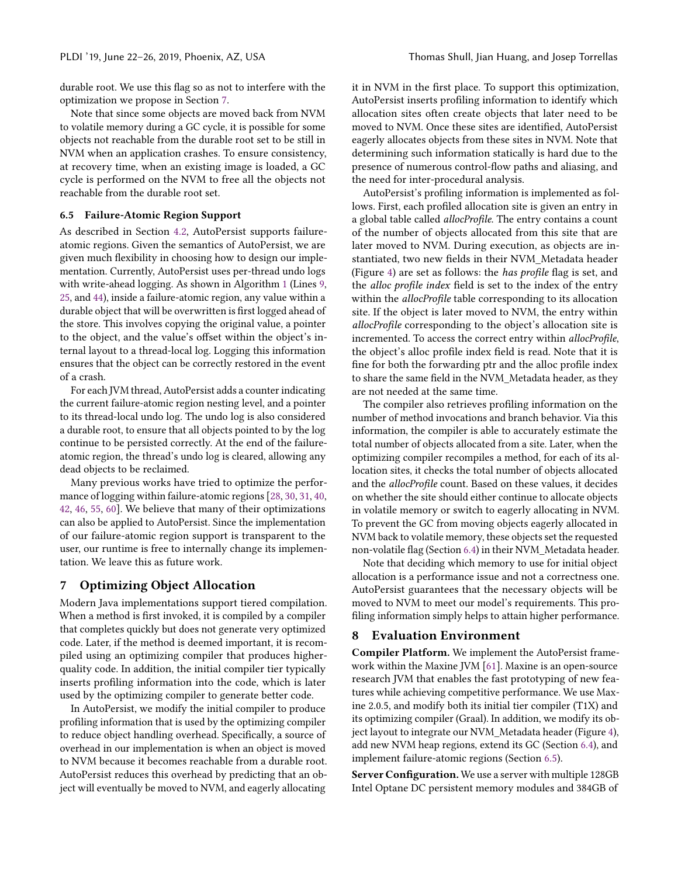durable root. We use this flag so as not to interfere with the optimization we propose in Section [7.](#page-9-1)

Note that since some objects are moved back from NVM to volatile memory during a GC cycle, it is possible for some objects not reachable from the durable root set to be still in NVM when an application crashes. To ensure consistency, at recovery time, when an existing image is loaded, a GC cycle is performed on the NVM to free all the objects not reachable from the durable root set.

#### <span id="page-9-0"></span>6.5 Failure-Atomic Region Support

As described in Section [4.2,](#page-3-1) AutoPersist supports failureatomic regions. Given the semantics of AutoPersist, we are given much flexibility in choosing how to design our implementation. Currently, AutoPersist uses per-thread undo logs with write-ahead logging. As shown in Algorithm [1](#page-5-0) (Lines [9,](#page-5-0) [25,](#page-5-0) and [44\)](#page-5-0), inside a failure-atomic region, any value within a durable object that will be overwritten is first logged ahead of the store. This involves copying the original value, a pointer to the object, and the value's offset within the object's internal layout to a thread-local log. Logging this information ensures that the object can be correctly restored in the event of a crash.

For each JVM thread, AutoPersist adds a counter indicating the current failure-atomic region nesting level, and a pointer to its thread-local undo log. The undo log is also considered a durable root, to ensure that all objects pointed to by the log continue to be persisted correctly. At the end of the failureatomic region, the thread's undo log is cleared, allowing any dead objects to be reclaimed.

Many previous works have tried to optimize the performance of logging within failure-atomic regions [\[28,](#page-14-15) [30,](#page-14-16) [31,](#page-14-12) [40,](#page-15-12) [42,](#page-15-9) [46,](#page-15-10) [55,](#page-15-13) [60\]](#page-15-2). We believe that many of their optimizations can also be applied to AutoPersist. Since the implementation of our failure-atomic region support is transparent to the user, our runtime is free to internally change its implementation. We leave this as future work.

# <span id="page-9-1"></span>7 Optimizing Object Allocation

Modern Java implementations support tiered compilation. When a method is first invoked, it is compiled by a compiler that completes quickly but does not generate very optimized code. Later, if the method is deemed important, it is recompiled using an optimizing compiler that produces higherquality code. In addition, the initial compiler tier typically inserts profiling information into the code, which is later used by the optimizing compiler to generate better code.

In AutoPersist, we modify the initial compiler to produce profiling information that is used by the optimizing compiler to reduce object handling overhead. Specifically, a source of overhead in our implementation is when an object is moved to NVM because it becomes reachable from a durable root. AutoPersist reduces this overhead by predicting that an object will eventually be moved to NVM, and eagerly allocating

it in NVM in the first place. To support this optimization, AutoPersist inserts profiling information to identify which allocation sites often create objects that later need to be moved to NVM. Once these sites are identified, AutoPersist eagerly allocates objects from these sites in NVM. Note that determining such information statically is hard due to the presence of numerous control-flow paths and aliasing, and the need for inter-procedural analysis.

AutoPersist's profiling information is implemented as follows. First, each profiled allocation site is given an entry in a global table called allocProfile. The entry contains a count of the number of objects allocated from this site that are later moved to NVM. During execution, as objects are instantiated, two new fields in their NVM\_Metadata header (Figure [4\)](#page-6-1) are set as follows: the has profile flag is set, and the alloc profile index field is set to the index of the entry within the allocProfile table corresponding to its allocation site. If the object is later moved to NVM, the entry within allocProfile corresponding to the object's allocation site is incremented. To access the correct entry within allocProfile, the object's alloc profile index field is read. Note that it is fine for both the forwarding ptr and the alloc profile index to share the same field in the NVM\_Metadata header, as they are not needed at the same time.

The compiler also retrieves profiling information on the number of method invocations and branch behavior. Via this information, the compiler is able to accurately estimate the total number of objects allocated from a site. Later, when the optimizing compiler recompiles a method, for each of its allocation sites, it checks the total number of objects allocated and the allocProfile count. Based on these values, it decides on whether the site should either continue to allocate objects in volatile memory or switch to eagerly allocating in NVM. To prevent the GC from moving objects eagerly allocated in NVM back to volatile memory, these objects set the requested non-volatile flag (Section [6.4\)](#page-8-1) in their NVM\_Metadata header.

Note that deciding which memory to use for initial object allocation is a performance issue and not a correctness one. AutoPersist guarantees that the necessary objects will be moved to NVM to meet our model's requirements. This profiling information simply helps to attain higher performance.

# <span id="page-9-2"></span>8 Evaluation Environment

Compiler Platform. We implement the AutoPersist framework within the Maxine JVM [\[61\]](#page-15-7). Maxine is an open-source research JVM that enables the fast prototyping of new features while achieving competitive performance. We use Maxine 2.0.5, and modify both its initial tier compiler (T1X) and its optimizing compiler (Graal). In addition, we modify its object layout to integrate our NVM\_Metadata header (Figure [4\)](#page-6-1), add new NVM heap regions, extend its GC (Section [6.4\)](#page-8-1), and implement failure-atomic regions (Section [6.5\)](#page-9-0).

Server Configuration. We use a server with multiple 128GB Intel Optane DC persistent memory modules and 384GB of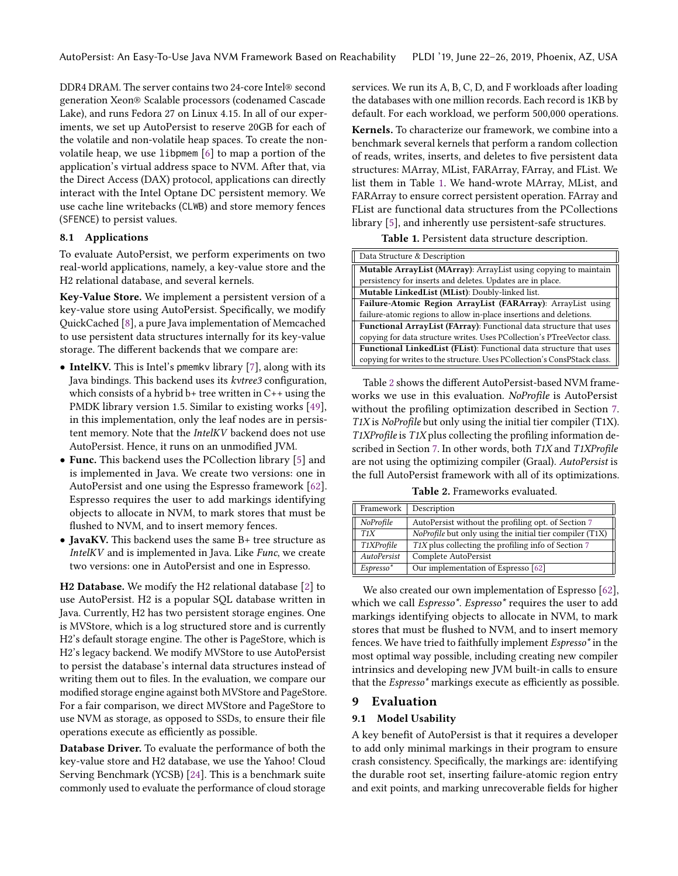DDR4 DRAM. The server contains two 24-core Intel® second generation Xeon® Scalable processors (codenamed Cascade Lake), and runs Fedora 27 on Linux 4.15. In all of our experiments, we set up AutoPersist to reserve 20GB for each of the volatile and non-volatile heap spaces. To create the nonvolatile heap, we use libpmem [\[6\]](#page-14-1) to map a portion of the application's virtual address space to NVM. After that, via the Direct Access (DAX) protocol, applications can directly interact with the Intel Optane DC persistent memory. We use cache line writebacks (CLWB) and store memory fences (SFENCE) to persist values.

# 8.1 Applications

To evaluate AutoPersist, we perform experiments on two real-world applications, namely, a key-value store and the H2 relational database, and several kernels.

Key-Value Store. We implement a persistent version of a key-value store using AutoPersist. Specifically, we modify QuickCached [\[8\]](#page-14-7), a pure Java implementation of Memcached to use persistent data structures internally for its key-value storage. The different backends that we compare are:

- IntelKV. This is Intel's pmemky library [\[7\]](#page-14-17), along with its Java bindings. This backend uses its kvtree3 configuration, which consists of a hybrid  $b+$  tree written in  $C++$  using the PMDK library version 1.5. Similar to existing works [\[49\]](#page-15-14), in this implementation, only the leaf nodes are in persistent memory. Note that the IntelKV backend does not use AutoPersist. Hence, it runs on an unmodified JVM.
- Func. This backend uses the PCollection library [\[5\]](#page-14-18) and is implemented in Java. We create two versions: one in AutoPersist and one using the Espresso framework [\[62\]](#page-16-1). Espresso requires the user to add markings identifying objects to allocate in NVM, to mark stores that must be flushed to NVM, and to insert memory fences.
- JavaKV. This backend uses the same B+ tree structure as IntelKV and is implemented in Java. Like Func, we create two versions: one in AutoPersist and one in Espresso.

H2 Database. We modify the H2 relational database [\[2\]](#page-14-6) to use AutoPersist. H2 is a popular SQL database written in Java. Currently, H2 has two persistent storage engines. One is MVStore, which is a log structured store and is currently H2's default storage engine. The other is PageStore, which is H2's legacy backend. We modify MVStore to use AutoPersist to persist the database's internal data structures instead of writing them out to files. In the evaluation, we compare our modified storage engine against both MVStore and PageStore. For a fair comparison, we direct MVStore and PageStore to use NVM as storage, as opposed to SSDs, to ensure their file operations execute as efficiently as possible.

Database Driver. To evaluate the performance of both the key-value store and H2 database, we use the Yahoo! Cloud Serving Benchmark (YCSB) [\[24\]](#page-14-19). This is a benchmark suite commonly used to evaluate the performance of cloud storage services. We run its A, B, C, D, and F workloads after loading the databases with one million records. Each record is 1KB by default. For each workload, we perform 500,000 operations.

Kernels. To characterize our framework, we combine into a benchmark several kernels that perform a random collection of reads, writes, inserts, and deletes to five persistent data structures: MArray, MList, FARArray, FArray, and FList. We list them in Table [1.](#page-10-0) We hand-wrote MArray, MList, and FARArray to ensure correct persistent operation. FArray and FList are functional data structures from the PCollections library [\[5\]](#page-14-18), and inherently use persistent-safe structures.

Table 1. Persistent data structure description.

<span id="page-10-0"></span>

| Data Structure & Description                                              |  |  |
|---------------------------------------------------------------------------|--|--|
| Mutable ArrayList (MArray): ArrayList using copying to maintain           |  |  |
| persistency for inserts and deletes. Updates are in place.                |  |  |
| Mutable LinkedList (MList): Doubly-linked list.                           |  |  |
| Failure-Atomic Region ArrayList (FARArray): ArrayList using               |  |  |
| failure-atomic regions to allow in-place insertions and deletions.        |  |  |
| <b>Functional ArrayList (FArray):</b> Functional data structure that uses |  |  |
| copying for data structure writes. Uses PCollection's PTreeVector class.  |  |  |
| Functional LinkedList (FList): Functional data structure that uses        |  |  |
| copying for writes to the structure. Uses PCollection's ConsPStack class. |  |  |

Table [2](#page-10-1) shows the different AutoPersist-based NVM frameworks we use in this evaluation. NoProfile is AutoPersist without the profiling optimization described in Section [7.](#page-9-1) T1X is NoProfile but only using the initial tier compiler (T1X). T1XProfile is T1X plus collecting the profiling information described in Section [7.](#page-9-1) In other words, both T1X and T1XProfile are not using the optimizing compiler (Graal). AutoPersist is the full AutoPersist framework with all of its optimizations.

Table 2. Frameworks evaluated.

<span id="page-10-1"></span>

| Framework    | Description                                              |  |  |
|--------------|----------------------------------------------------------|--|--|
| NoProfile    | AutoPersist without the profiling opt. of Section 7      |  |  |
| T1X          | NoProfile but only using the initial tier compiler (T1X) |  |  |
| T1XProfile   | T1X plus collecting the profiling info of Section 7      |  |  |
| AutoPersist  | Complete AutoPersist                                     |  |  |
| $Es presso*$ | Our implementation of Espresso [62]                      |  |  |

We also created our own implementation of Espresso [\[62\]](#page-16-1), which we call *Espresso<sup>\*</sup>*. *Espresso<sup>\*</sup>* requires the user to add markings identifying objects to allocate in NVM, to mark stores that must be flushed to NVM, and to insert memory fences. We have tried to faithfully implement Espresso\* in the most optimal way possible, including creating new compiler intrinsics and developing new JVM built-in calls to ensure that the Espresso\* markings execute as efficiently as possible.

# <span id="page-10-2"></span>9 Evaluation

# 9.1 Model Usability

A key benefit of AutoPersist is that it requires a developer to add only minimal markings in their program to ensure crash consistency. Specifically, the markings are: identifying the durable root set, inserting failure-atomic region entry and exit points, and marking unrecoverable fields for higher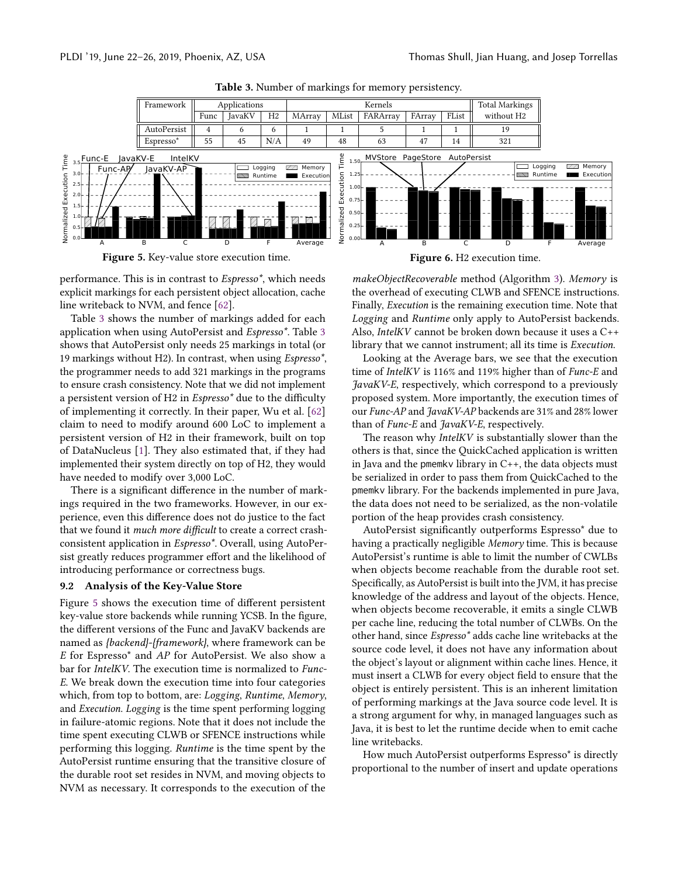<span id="page-11-1"></span><span id="page-11-0"></span>

Table 3. Number of markings for memory persistency.



performance. This is in contrast to Espresso\*, which needs explicit markings for each persistent object allocation, cache line writeback to NVM, and fence [\[62\]](#page-16-1).

Table [3](#page-11-0) shows the number of markings added for each application when using AutoPersist and Espresso\*. Table [3](#page-11-0) shows that AutoPersist only needs 25 markings in total (or 19 markings without H2). In contrast, when using Espresso\*, the programmer needs to add 321 markings in the programs to ensure crash consistency. Note that we did not implement a persistent version of H2 in Espresso\* due to the difficulty of implementing it correctly. In their paper, Wu et al. [\[62\]](#page-16-1) claim to need to modify around 600 LoC to implement a persistent version of H2 in their framework, built on top of DataNucleus [\[1\]](#page-14-20). They also estimated that, if they had implemented their system directly on top of H2, they would have needed to modify over 3,000 LoC.

There is a significant difference in the number of markings required in the two frameworks. However, in our experience, even this difference does not do justice to the fact that we found it much more difficult to create a correct crashconsistent application in Espresso\*. Overall, using AutoPersist greatly reduces programmer effort and the likelihood of introducing performance or correctness bugs.

#### <span id="page-11-2"></span>9.2 Analysis of the Key-Value Store

Figure [5](#page-11-1) shows the execution time of different persistent key-value store backends while running YCSB. In the figure, the different versions of the Func and JavaKV backends are named as {backend}-{framework}, where framework can be E for Espresso\* and AP for AutoPersist. We also show a bar for IntelKV. The execution time is normalized to Func-E. We break down the execution time into four categories which, from top to bottom, are: Logging, Runtime, Memory, and Execution. Logging is the time spent performing logging in failure-atomic regions. Note that it does not include the time spent executing CLWB or SFENCE instructions while performing this logging. Runtime is the time spent by the AutoPersist runtime ensuring that the transitive closure of the durable root set resides in NVM, and moving objects to NVM as necessary. It corresponds to the execution of the



makeObjectRecoverable method (Algorithm [3\)](#page-7-0). Memory is the overhead of executing CLWB and SFENCE instructions. Finally, Execution is the remaining execution time. Note that Logging and Runtime only apply to AutoPersist backends. Also, IntelKV cannot be broken down because it uses a C++ library that we cannot instrument; all its time is Execution.

Looking at the Average bars, we see that the execution time of IntelKV is 116% and 119% higher than of Func-E and JavaKV-E, respectively, which correspond to a previously proposed system. More importantly, the execution times of our Func-AP and JavaKV-AP backends are 31% and 28% lower than of Func-E and JavaKV-E, respectively.

The reason why IntelKV is substantially slower than the others is that, since the QuickCached application is written in Java and the pmemkv library in C++, the data objects must be serialized in order to pass them from QuickCached to the pmemkv library. For the backends implemented in pure Java, the data does not need to be serialized, as the non-volatile portion of the heap provides crash consistency.

AutoPersist significantly outperforms Espresso\* due to having a practically negligible Memory time. This is because AutoPersist's runtime is able to limit the number of CWLBs when objects become reachable from the durable root set. Specifically, as AutoPersist is built into the JVM, it has precise knowledge of the address and layout of the objects. Hence, when objects become recoverable, it emits a single CLWB per cache line, reducing the total number of CLWBs. On the other hand, since Espresso\* adds cache line writebacks at the source code level, it does not have any information about the object's layout or alignment within cache lines. Hence, it must insert a CLWB for every object field to ensure that the object is entirely persistent. This is an inherent limitation of performing markings at the Java source code level. It is a strong argument for why, in managed languages such as Java, it is best to let the runtime decide when to emit cache line writebacks.

How much AutoPersist outperforms Espresso\* is directly proportional to the number of insert and update operations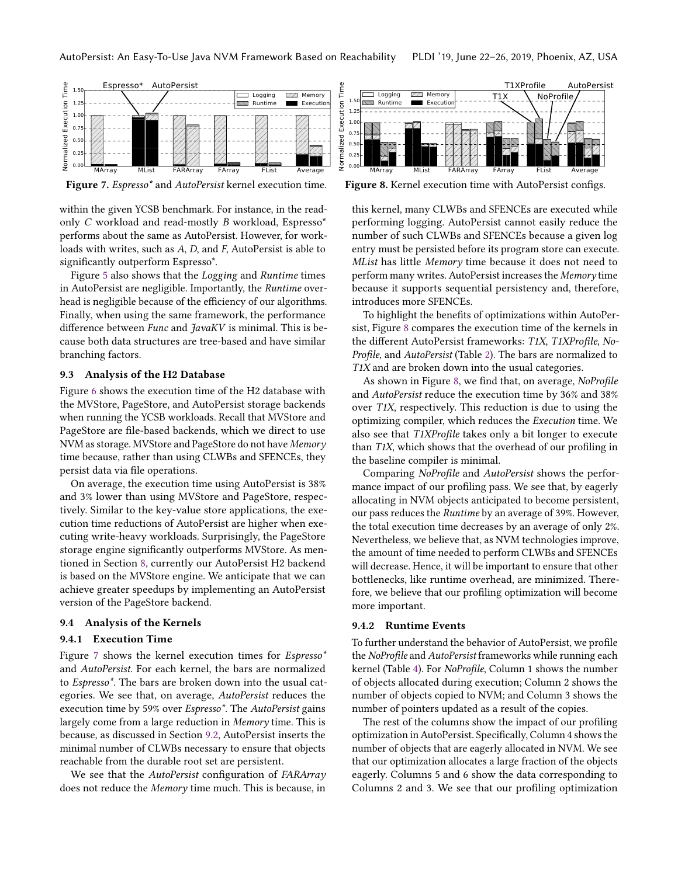<span id="page-12-0"></span>

Figure 7. Espresso<sup>\*</sup> and AutoPersist kernel execution time.

within the given YCSB benchmark. For instance, in the readonly C workload and read-mostly B workload, Espresso\* performs about the same as AutoPersist. However, for workloads with writes, such as A, D, and F, AutoPersist is able to significantly outperform Espresso\*.

Figure [5](#page-11-1) also shows that the Logging and Runtime times in AutoPersist are negligible. Importantly, the Runtime overhead is negligible because of the efficiency of our algorithms. Finally, when using the same framework, the performance difference between Func and JavaKV is minimal. This is because both data structures are tree-based and have similar branching factors.

#### 9.3 Analysis of the H2 Database

Figure [6](#page-11-1) shows the execution time of the H2 database with the MVStore, PageStore, and AutoPersist storage backends when running the YCSB workloads. Recall that MVStore and PageStore are file-based backends, which we direct to use NVM as storage. MVStore and PageStore do not have Memory time because, rather than using CLWBs and SFENCEs, they persist data via file operations.

On average, the execution time using AutoPersist is 38% and 3% lower than using MVStore and PageStore, respectively. Similar to the key-value store applications, the execution time reductions of AutoPersist are higher when executing write-heavy workloads. Surprisingly, the PageStore storage engine significantly outperforms MVStore. As mentioned in Section [8,](#page-9-2) currently our AutoPersist H2 backend is based on the MVStore engine. We anticipate that we can achieve greater speedups by implementing an AutoPersist version of the PageStore backend.

#### 9.4 Analysis of the Kernels

#### 9.4.1 Execution Time

Figure [7](#page-12-0) shows the kernel execution times for Espresso<sup>\*</sup> and AutoPersist. For each kernel, the bars are normalized to Espresso\*. The bars are broken down into the usual categories. We see that, on average, AutoPersist reduces the execution time by 59% over Espresso\*. The AutoPersist gains largely come from a large reduction in Memory time. This is because, as discussed in Section [9.2,](#page-11-2) AutoPersist inserts the minimal number of CLWBs necessary to ensure that objects reachable from the durable root set are persistent.

We see that the AutoPersist configuration of FARArray does not reduce the Memory time much. This is because, in



Figure 8. Kernel execution time with AutoPersist configs.

this kernel, many CLWBs and SFENCEs are executed while performing logging. AutoPersist cannot easily reduce the number of such CLWBs and SFENCEs because a given log entry must be persisted before its program store can execute. MList has little Memory time because it does not need to perform many writes. AutoPersist increases the Memory time because it supports sequential persistency and, therefore, introduces more SFENCEs.

To highlight the benefits of optimizations within AutoPersist, Figure [8](#page-12-0) compares the execution time of the kernels in the different AutoPersist frameworks: T1X, T1XProfile, No-Profile, and AutoPersist (Table [2\)](#page-10-1). The bars are normalized to T1X and are broken down into the usual categories.

As shown in Figure [8,](#page-12-0) we find that, on average, NoProfile and AutoPersist reduce the execution time by 36% and 38% over T1X, respectively. This reduction is due to using the optimizing compiler, which reduces the Execution time. We also see that T1XProfile takes only a bit longer to execute than T1X, which shows that the overhead of our profiling in the baseline compiler is minimal.

Comparing NoProfile and AutoPersist shows the performance impact of our profiling pass. We see that, by eagerly allocating in NVM objects anticipated to become persistent, our pass reduces the Runtime by an average of 39%. However, the total execution time decreases by an average of only 2%. Nevertheless, we believe that, as NVM technologies improve, the amount of time needed to perform CLWBs and SFENCEs will decrease. Hence, it will be important to ensure that other bottlenecks, like runtime overhead, are minimized. Therefore, we believe that our profiling optimization will become more important.

#### 9.4.2 Runtime Events

To further understand the behavior of AutoPersist, we profile the NoProfile and AutoPersist frameworks while running each kernel (Table [4\)](#page-13-0). For NoProfile, Column 1 shows the number of objects allocated during execution; Column 2 shows the number of objects copied to NVM; and Column 3 shows the number of pointers updated as a result of the copies.

The rest of the columns show the impact of our profiling optimization in AutoPersist. Specifically, Column 4 shows the number of objects that are eagerly allocated in NVM. We see that our optimization allocates a large fraction of the objects eagerly. Columns 5 and 6 show the data corresponding to Columns 2 and 3. We see that our profiling optimization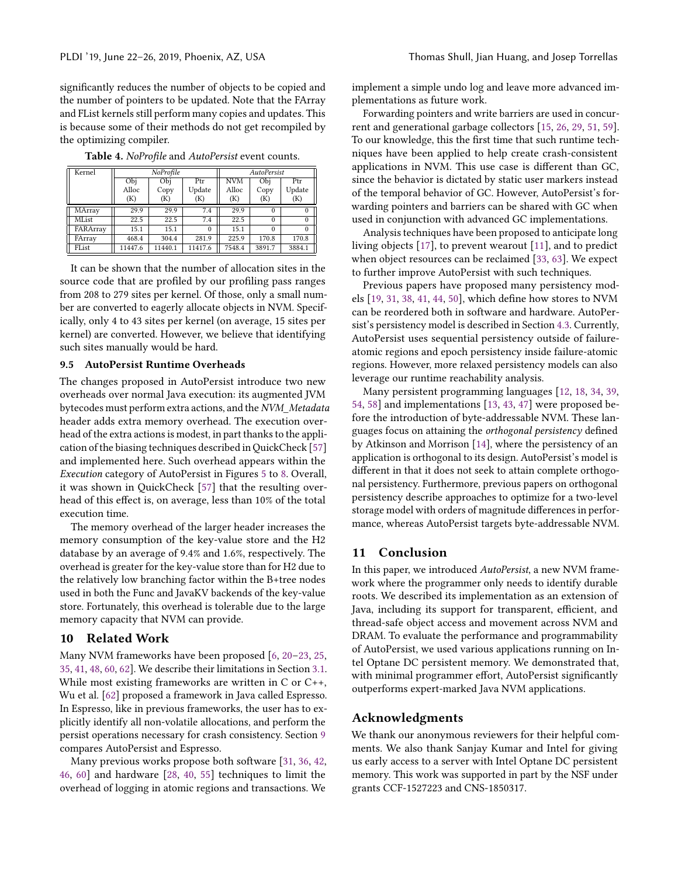significantly reduces the number of objects to be copied and the number of pointers to be updated. Note that the FArray and FList kernels still perform many copies and updates. This is because some of their methods do not get recompiled by the optimizing compiler.

| Kernel   | NoProfile |         |          | AutoPersist |          |          |
|----------|-----------|---------|----------|-------------|----------|----------|
|          | Obj       | Obj     | Ptr      | <b>NVM</b>  | Obj      | Ptr      |
|          | Alloc     | Copy    | Update   | Alloc       | Copy     | Update   |
|          | (K)       | (K)     | (K)      | (K)         | (K)      | (K)      |
| MArray   | 29.9      | 29.9    | 7.4      | 29.9        | 0        | 0        |
| MList    | 22.5      | 22.5    | 7.4      | 22.5        | $\Omega$ | $\Omega$ |
| FARArray | 15.1      | 15.1    | $\Omega$ | 15.1        | $\theta$ | $\Omega$ |
| FArray   | 468.4     | 304.4   | 281.9    | 225.9       | 170.8    | 170.8    |
| FList    | 11447.6   | 11440.1 | 11417.6  | 7548.4      | 3891.7   | 3884.1   |

<span id="page-13-0"></span>Table 4. NoProfile and AutoPersist event counts.

It can be shown that the number of allocation sites in the source code that are profiled by our profiling pass ranges from 208 to 279 sites per kernel. Of those, only a small number are converted to eagerly allocate objects in NVM. Specifically, only 4 to 43 sites per kernel (on average, 15 sites per kernel) are converted. However, we believe that identifying such sites manually would be hard.

# 9.5 AutoPersist Runtime Overheads

The changes proposed in AutoPersist introduce two new overheads over normal Java execution: its augmented JVM bytecodes must perform extra actions, and the NVM\_Metadata header adds extra memory overhead. The execution overhead of the extra actions is modest, in part thanks to the application of the biasing techniques described in QuickCheck [\[57\]](#page-15-15) and implemented here. Such overhead appears within the Execution category of AutoPersist in Figures [5](#page-11-1) to [8.](#page-12-0) Overall, it was shown in QuickCheck [\[57\]](#page-15-15) that the resulting overhead of this effect is, on average, less than 10% of the total execution time.

The memory overhead of the larger header increases the memory consumption of the key-value store and the H2 database by an average of 9.4% and 1.6%, respectively. The overhead is greater for the key-value store than for H2 due to the relatively low branching factor within the B+tree nodes used in both the Func and JavaKV backends of the key-value store. Fortunately, this overhead is tolerable due to the large memory capacity that NVM can provide.

# 10 Related Work

Many NVM frameworks have been proposed [\[6,](#page-14-1) [20–](#page-14-3)[23,](#page-14-4) [25,](#page-14-5) [35,](#page-15-3) [41,](#page-15-16) [48,](#page-15-4) [60,](#page-15-2) [62\]](#page-16-1). We describe their limitations in Section [3.1.](#page-2-2) While most existing frameworks are written in C or C++, Wu et al. [\[62\]](#page-16-1) proposed a framework in Java called Espresso. In Espresso, like in previous frameworks, the user has to explicitly identify all non-volatile allocations, and perform the persist operations necessary for crash consistency. Section [9](#page-10-2) compares AutoPersist and Espresso.

Many previous works propose both software [\[31,](#page-14-12) [36,](#page-15-17) [42,](#page-15-9) [46,](#page-15-10) [60\]](#page-15-2) and hardware [\[28,](#page-14-15) [40,](#page-15-12) [55\]](#page-15-13) techniques to limit the overhead of logging in atomic regions and transactions. We

implement a simple undo log and leave more advanced implementations as future work.

Forwarding pointers and write barriers are used in concurrent and generational garbage collectors [\[15,](#page-14-21) [26,](#page-14-22) [29,](#page-14-23) [51,](#page-15-18) [59\]](#page-15-19). To our knowledge, this the first time that such runtime techniques have been applied to help create crash-consistent applications in NVM. This use case is different than GC, since the behavior is dictated by static user markers instead of the temporal behavior of GC. However, AutoPersist's forwarding pointers and barriers can be shared with GC when used in conjunction with advanced GC implementations.

Analysis techniques have been proposed to anticipate long living objects [\[17\]](#page-14-24), to prevent wearout [\[11\]](#page-14-25), and to predict when object resources can be reclaimed [\[33,](#page-14-26) [63\]](#page-16-2). We expect to further improve AutoPersist with such techniques.

Previous papers have proposed many persistency models [\[19,](#page-14-27) [31,](#page-14-12) [38,](#page-15-20) [41,](#page-15-16) [44,](#page-15-21) [50\]](#page-15-5), which define how stores to NVM can be reordered both in software and hardware. AutoPersist's persistency model is described in Section [4.3.](#page-3-2) Currently, AutoPersist uses sequential persistency outside of failureatomic regions and epoch persistency inside failure-atomic regions. However, more relaxed persistency models can also leverage our runtime reachability analysis.

Many persistent programming languages [\[12,](#page-14-28) [18,](#page-14-29) [34,](#page-14-30) [39,](#page-15-22) [54,](#page-15-23) [58\]](#page-15-24) and implementations [\[13,](#page-14-31) [43,](#page-15-25) [47\]](#page-15-26) were proposed before the introduction of byte-addressable NVM. These languages focus on attaining the orthogonal persistency defined by Atkinson and Morrison [\[14\]](#page-14-32), where the persistency of an application is orthogonal to its design. AutoPersist's model is different in that it does not seek to attain complete orthogonal persistency. Furthermore, previous papers on orthogonal persistency describe approaches to optimize for a two-level storage model with orders of magnitude differences in performance, whereas AutoPersist targets byte-addressable NVM.

# 11 Conclusion

In this paper, we introduced AutoPersist, a new NVM framework where the programmer only needs to identify durable roots. We described its implementation as an extension of Java, including its support for transparent, efficient, and thread-safe object access and movement across NVM and DRAM. To evaluate the performance and programmability of AutoPersist, we used various applications running on Intel Optane DC persistent memory. We demonstrated that, with minimal programmer effort, AutoPersist significantly outperforms expert-marked Java NVM applications.

# Acknowledgments

We thank our anonymous reviewers for their helpful comments. We also thank Sanjay Kumar and Intel for giving us early access to a server with Intel Optane DC persistent memory. This work was supported in part by the NSF under grants CCF-1527223 and CNS-1850317.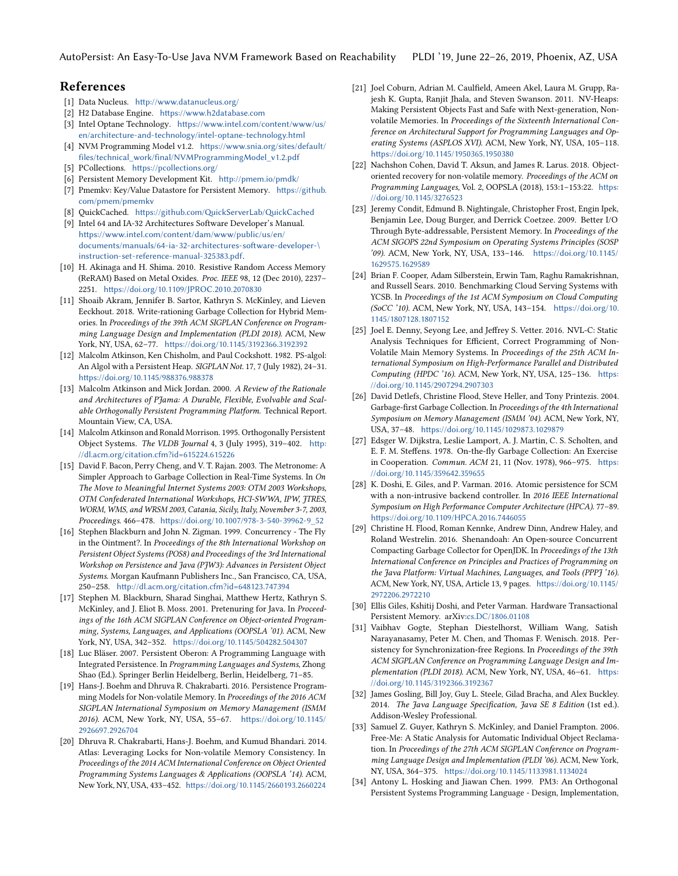# References

- <span id="page-14-20"></span>[1] Data Nucleus. <http://www.datanucleus.org/>
- <span id="page-14-6"></span>[2] H2 Database Engine. <https://www.h2database.com>
- <span id="page-14-8"></span>[3] Intel Optane Technology. [https://www.intel.com/content/www/us/](https://www.intel.com/content/www/us/en/architecture-and-technology/intel-optane-technology.html) [en/architecture-and-technology/intel-optane-technology.html](https://www.intel.com/content/www/us/en/architecture-and-technology/intel-optane-technology.html)
- <span id="page-14-10"></span>[4] NVM Programming Model v1.2. [https://www.snia.org/sites/default/](https://www.snia.org/sites/default/files/technical_work/final/NVMProgrammingModel_v1.2.pdf) [files/technical\\_work/final/NVMProgrammingModel\\_v1.2.pdf](https://www.snia.org/sites/default/files/technical_work/final/NVMProgrammingModel_v1.2.pdf)
- <span id="page-14-18"></span>[5] PCollections. <https://pcollections.org/>
- <span id="page-14-1"></span>[6] Persistent Memory Development Kit. <http://pmem.io/pmdk/>
- <span id="page-14-17"></span>[7] Pmemkv: Key/Value Datastore for Persistent Memory. [https://github.](https://github.com/pmem/pmemkv) [com/pmem/pmemkv](https://github.com/pmem/pmemkv)
- <span id="page-14-7"></span>[8] QuickCached. <https://github.com/QuickServerLab/QuickCached>
- <span id="page-14-9"></span>[9] Intel 64 and IA-32 Architectures Software Developer's Manual. [https://www.intel.com/content/dam/www/public/us/en/](https://www.intel.com/content/dam/www/public/us/en/documents/manuals/64-ia-32-architectures-software-developer-\instruction-set-reference-manual-325383.pdf) [documents/manuals/64-ia-32-architectures-software-developer-\](https://www.intel.com/content/dam/www/public/us/en/documents/manuals/64-ia-32-architectures-software-developer-\instruction-set-reference-manual-325383.pdf) [instruction-set-reference-manual-325383.pdf](https://www.intel.com/content/dam/www/public/us/en/documents/manuals/64-ia-32-architectures-software-developer-\instruction-set-reference-manual-325383.pdf).
- <span id="page-14-0"></span>[10] H. Akinaga and H. Shima. 2010. Resistive Random Access Memory (ReRAM) Based on Metal Oxides. Proc. IEEE 98, 12 (Dec 2010), 2237– 2251. <https://doi.org/10.1109/JPROC.2010.2070830>
- <span id="page-14-25"></span>[11] Shoaib Akram, Jennifer B. Sartor, Kathryn S. McKinley, and Lieven Eeckhout. 2018. Write-rationing Garbage Collection for Hybrid Memories. In Proceedings of the 39th ACM SIGPLAN Conference on Programming Language Design and Implementation (PLDI 2018). ACM, New York, NY, USA, 62–77. <https://doi.org/10.1145/3192366.3192392>
- <span id="page-14-28"></span>[12] Malcolm Atkinson, Ken Chisholm, and Paul Cockshott. 1982. PS-algol: An Algol with a Persistent Heap. SIGPLAN Not. 17, 7 (July 1982), 24–31. <https://doi.org/10.1145/988376.988378>
- <span id="page-14-31"></span>[13] Malcolm Atkinson and Mick Jordan. 2000. A Review of the Rationale and Architectures of PJama: A Durable, Flexible, Evolvable and Scalable Orthogonally Persistent Programming Platform. Technical Report. Mountain View, CA, USA.
- <span id="page-14-32"></span>[14] Malcolm Atkinson and Ronald Morrison. 1995. Orthogonally Persistent Object Systems. The VLDB Journal 4, 3 (July 1995), 319–402. [http:](http://dl.acm.org/citation.cfm?id=615224.615226) [//dl.acm.org/citation.cfm?id=615224.615226](http://dl.acm.org/citation.cfm?id=615224.615226)
- <span id="page-14-21"></span>[15] David F. Bacon, Perry Cheng, and V. T. Rajan. 2003. The Metronome: A Simpler Approach to Garbage Collection in Real-Time Systems. In On The Move to Meaningful Internet Systems 2003: OTM 2003 Workshops, OTM Confederated International Workshops, HCI-SWWA, IPW, JTRES, WORM, WMS, and WRSM 2003, Catania, Sicily, Italy, November 3-7, 2003, Proceedings. 466–478. [https://doi.org/10.1007/978-3-540-39962-9\\_52](https://doi.org/10.1007/978-3-540-39962-9_52)
- <span id="page-14-13"></span>[16] Stephen Blackburn and John N. Zigman. 1999. Concurrency - The Fly in the Ointment?. In Proceedings of the 8th International Workshop on Persistent Object Systems (POS8) and Proceedings of the 3rd International Workshop on Persistence and Java (PJW3): Advances in Persistent Object Systems. Morgan Kaufmann Publishers Inc., San Francisco, CA, USA, 250–258. <http://dl.acm.org/citation.cfm?id=648123.747394>
- <span id="page-14-24"></span>[17] Stephen M. Blackburn, Sharad Singhai, Matthew Hertz, Kathryn S. McKinley, and J. Eliot B. Moss. 2001. Pretenuring for Java. In Proceedings of the 16th ACM SIGPLAN Conference on Object-oriented Programming, Systems, Languages, and Applications (OOPSLA '01). ACM, New York, NY, USA, 342–352. <https://doi.org/10.1145/504282.504307>
- <span id="page-14-29"></span>[18] Luc Bläser. 2007. Persistent Oberon: A Programming Language with Integrated Persistence. In Programming Languages and Systems, Zhong Shao (Ed.). Springer Berlin Heidelberg, Berlin, Heidelberg, 71–85.
- <span id="page-14-27"></span>[19] Hans-J. Boehm and Dhruva R. Chakrabarti. 2016. Persistence Programming Models for Non-volatile Memory. In Proceedings of the 2016 ACM SIGPLAN International Symposium on Memory Management (ISMM 2016). ACM, New York, NY, USA, 55–67. [https://doi.org/10.1145/](https://doi.org/10.1145/2926697.2926704) [2926697.2926704](https://doi.org/10.1145/2926697.2926704)
- <span id="page-14-3"></span>[20] Dhruva R. Chakrabarti, Hans-J. Boehm, and Kumud Bhandari. 2014. Atlas: Leveraging Locks for Non-volatile Memory Consistency. In Proceedings of the 2014 ACM International Conference on Object Oriented Programming Systems Languages & Applications (OOPSLA '14). ACM, New York, NY, USA, 433–452. <https://doi.org/10.1145/2660193.2660224>
- <span id="page-14-2"></span>[21] Joel Coburn, Adrian M. Caulfield, Ameen Akel, Laura M. Grupp, Rajesh K. Gupta, Ranjit Jhala, and Steven Swanson. 2011. NV-Heaps: Making Persistent Objects Fast and Safe with Next-generation, Nonvolatile Memories. In Proceedings of the Sixteenth International Conference on Architectural Support for Programming Languages and Operating Systems (ASPLOS XVI). ACM, New York, NY, USA, 105–118. <https://doi.org/10.1145/1950365.1950380>
- [22] Nachshon Cohen, David T. Aksun, and James R. Larus. 2018. Objectoriented recovery for non-volatile memory. Proceedings of the ACM on Programming Languages, Vol. 2, OOPSLA (2018), 153:1–153:22. [https:](https://doi.org/10.1145/3276523) [//doi.org/10.1145/3276523](https://doi.org/10.1145/3276523)
- <span id="page-14-4"></span>[23] Jeremy Condit, Edmund B. Nightingale, Christopher Frost, Engin Ipek, Benjamin Lee, Doug Burger, and Derrick Coetzee. 2009. Better I/O Through Byte-addressable, Persistent Memory. In Proceedings of the ACM SIGOPS 22nd Symposium on Operating Systems Principles (SOSP '09). ACM, New York, NY, USA, 133–146. [https://doi.org/10.1145/](https://doi.org/10.1145/1629575.1629589) [1629575.1629589](https://doi.org/10.1145/1629575.1629589)
- <span id="page-14-19"></span>[24] Brian F. Cooper, Adam Silberstein, Erwin Tam, Raghu Ramakrishnan, and Russell Sears. 2010. Benchmarking Cloud Serving Systems with YCSB. In Proceedings of the 1st ACM Symposium on Cloud Computing (SoCC '10). ACM, New York, NY, USA, 143–154. [https://doi.org/10.](https://doi.org/10.1145/1807128.1807152) [1145/1807128.1807152](https://doi.org/10.1145/1807128.1807152)
- <span id="page-14-5"></span>[25] Joel E. Denny, Seyong Lee, and Jeffrey S. Vetter. 2016. NVL-C: Static Analysis Techniques for Efficient, Correct Programming of Non-Volatile Main Memory Systems. In Proceedings of the 25th ACM International Symposium on High-Performance Parallel and Distributed Computing (HPDC '16). ACM, New York, NY, USA, 125–136. [https:](https://doi.org/10.1145/2907294.2907303) [//doi.org/10.1145/2907294.2907303](https://doi.org/10.1145/2907294.2907303)
- <span id="page-14-22"></span>[26] David Detlefs, Christine Flood, Steve Heller, and Tony Printezis. 2004. Garbage-first Garbage Collection. In Proceedings of the 4th International Symposium on Memory Management (ISMM '04). ACM, New York, NY, USA, 37–48. <https://doi.org/10.1145/1029873.1029879>
- <span id="page-14-14"></span>[27] Edsger W. Dijkstra, Leslie Lamport, A. J. Martin, C. S. Scholten, and E. F. M. Steffens. 1978. On-the-fly Garbage Collection: An Exercise in Cooperation. Commun. ACM 21, 11 (Nov. 1978), 966–975. [https:](https://doi.org/10.1145/359642.359655) [//doi.org/10.1145/359642.359655](https://doi.org/10.1145/359642.359655)
- <span id="page-14-15"></span>[28] K. Doshi, E. Giles, and P. Varman. 2016. Atomic persistence for SCM with a non-intrusive backend controller. In 2016 IEEE International Symposium on High Performance Computer Architecture (HPCA). 77–89. <https://doi.org/10.1109/HPCA.2016.7446055>
- <span id="page-14-23"></span>[29] Christine H. Flood, Roman Kennke, Andrew Dinn, Andrew Haley, and Roland Westrelin. 2016. Shenandoah: An Open-source Concurrent Compacting Garbage Collector for OpenJDK. In Proceedings of the 13th International Conference on Principles and Practices of Programming on the Java Platform: Virtual Machines, Languages, and Tools (PPPJ '16). ACM, New York, NY, USA, Article 13, 9 pages. [https://doi.org/10.1145/](https://doi.org/10.1145/2972206.2972210) [2972206.2972210](https://doi.org/10.1145/2972206.2972210)
- <span id="page-14-16"></span>[30] Ellis Giles, Kshitij Doshi, and Peter Varman. Hardware Transactional Persistent Memory. arXiv[:cs.DC/1806.01108](http://arxiv.org/abs/cs.DC/1806.01108)
- <span id="page-14-12"></span>[31] Vaibhav Gogte, Stephan Diestelhorst, William Wang, Satish Narayanasamy, Peter M. Chen, and Thomas F. Wenisch. 2018. Persistency for Synchronization-free Regions. In Proceedings of the 39th ACM SIGPLAN Conference on Programming Language Design and Implementation (PLDI 2018). ACM, New York, NY, USA, 46–61. [https:](https://doi.org/10.1145/3192366.3192367) [//doi.org/10.1145/3192366.3192367](https://doi.org/10.1145/3192366.3192367)
- <span id="page-14-11"></span>[32] James Gosling, Bill Joy, Guy L. Steele, Gilad Bracha, and Alex Buckley. 2014. The Java Language Specification, Java SE 8 Edition (1st ed.). Addison-Wesley Professional.
- <span id="page-14-26"></span>[33] Samuel Z. Guyer, Kathryn S. McKinley, and Daniel Frampton. 2006. Free-Me: A Static Analysis for Automatic Individual Object Reclamation. In Proceedings of the 27th ACM SIGPLAN Conference on Programming Language Design and Implementation (PLDI '06). ACM, New York, NY, USA, 364–375. <https://doi.org/10.1145/1133981.1134024>
- <span id="page-14-30"></span>[34] Antony L. Hosking and Jiawan Chen. 1999. PM3: An Orthogonal Persistent Systems Programming Language - Design, Implementation,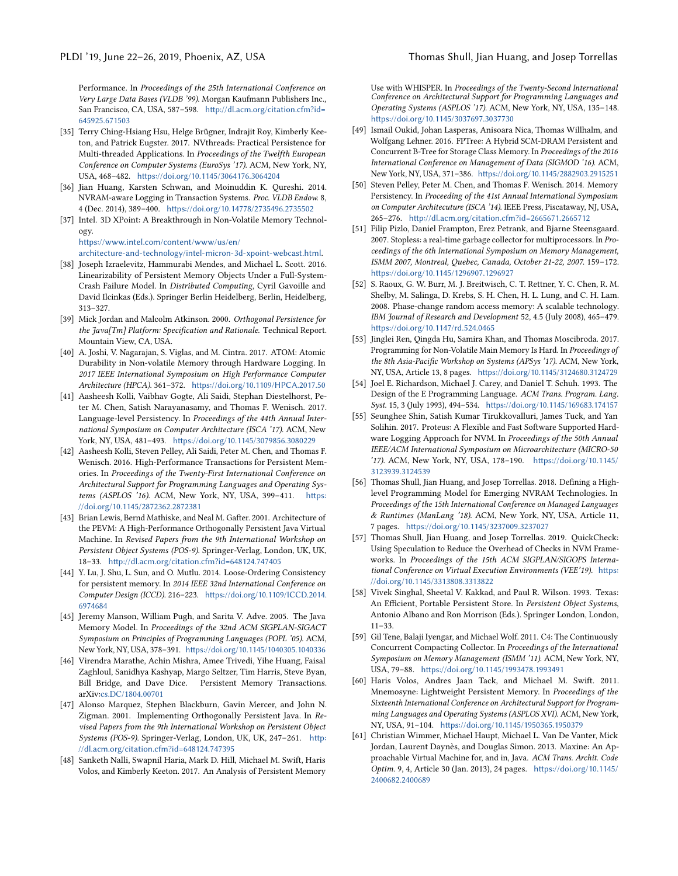Performance. In Proceedings of the 25th International Conference on Very Large Data Bases (VLDB '99). Morgan Kaufmann Publishers Inc., San Francisco, CA, USA, 587–598. [http://dl.acm.org/citation.cfm?id=](http://dl.acm.org/citation.cfm?id=645925.671503) [645925.671503](http://dl.acm.org/citation.cfm?id=645925.671503)

- <span id="page-15-3"></span>[35] Terry Ching-Hsiang Hsu, Helge Brügner, Indrajit Roy, Kimberly Keeton, and Patrick Eugster. 2017. NVthreads: Practical Persistence for Multi-threaded Applications. In Proceedings of the Twelfth European Conference on Computer Systems (EuroSys '17). ACM, New York, NY, USA, 468–482. <https://doi.org/10.1145/3064176.3064204>
- <span id="page-15-17"></span>[36] Jian Huang, Karsten Schwan, and Moinuddin K. Qureshi. 2014. NVRAM-aware Logging in Transaction Systems. Proc. VLDB Endow. 8, 4 (Dec. 2014), 389–400. <https://doi.org/10.14778/2735496.2735502>
- <span id="page-15-0"></span>[37] Intel. 3D XPoint: A Breakthrough in Non-Volatile Memory Technology.

[https://www.intel.com/content/www/us/en/](https://www.intel.com/content/www/us/en/architecture-and-technology/intel-micron-3d-xpoint-webcast.html) [architecture-and-technology/intel-micron-3d-xpoint-webcast.html](https://www.intel.com/content/www/us/en/architecture-and-technology/intel-micron-3d-xpoint-webcast.html).

- <span id="page-15-20"></span>[38] Joseph Izraelevitz, Hammurabi Mendes, and Michael L. Scott. 2016. Linearizability of Persistent Memory Objects Under a Full-System-Crash Failure Model. In Distributed Computing, Cyril Gavoille and David Ilcinkas (Eds.). Springer Berlin Heidelberg, Berlin, Heidelberg, 313–327.
- <span id="page-15-22"></span>[39] Mick Jordan and Malcolm Atkinson. 2000. Orthogonal Persistence for the Java[Tm] Platform: Specification and Rationale. Technical Report. Mountain View, CA, USA.
- <span id="page-15-12"></span>[40] A. Joshi, V. Nagarajan, S. Viglas, and M. Cintra. 2017. ATOM: Atomic Durability in Non-volatile Memory through Hardware Logging. In 2017 IEEE International Symposium on High Performance Computer Architecture (HPCA). 361–372. <https://doi.org/10.1109/HPCA.2017.50>
- <span id="page-15-16"></span>[41] Aasheesh Kolli, Vaibhav Gogte, Ali Saidi, Stephan Diestelhorst, Peter M. Chen, Satish Narayanasamy, and Thomas F. Wenisch. 2017. Language-level Persistency. In Proceedings of the 44th Annual International Symposium on Computer Architecture (ISCA '17). ACM, New York, NY, USA, 481–493. <https://doi.org/10.1145/3079856.3080229>
- <span id="page-15-9"></span>[42] Aasheesh Kolli, Steven Pelley, Ali Saidi, Peter M. Chen, and Thomas F. Wenisch. 2016. High-Performance Transactions for Persistent Memories. In Proceedings of the Twenty-First International Conference on Architectural Support for Programming Languages and Operating Systems (ASPLOS '16). ACM, New York, NY, USA, 399–411. [https:](https://doi.org/10.1145/2872362.2872381) [//doi.org/10.1145/2872362.2872381](https://doi.org/10.1145/2872362.2872381)
- <span id="page-15-25"></span>[43] Brian Lewis, Bernd Mathiske, and Neal M. Gafter. 2001. Architecture of the PEVM: A High-Performance Orthogonally Persistent Java Virtual Machine. In Revised Papers from the 9th International Workshop on Persistent Object Systems (POS-9). Springer-Verlag, London, UK, UK, 18–33. <http://dl.acm.org/citation.cfm?id=648124.747405>
- <span id="page-15-21"></span>[44] Y. Lu, J. Shu, L. Sun, and O. Mutlu. 2014. Loose-Ordering Consistency for persistent memory. In 2014 IEEE 32nd International Conference on Computer Design (ICCD). 216–223. [https://doi.org/10.1109/ICCD.2014.](https://doi.org/10.1109/ICCD.2014.6974684) [6974684](https://doi.org/10.1109/ICCD.2014.6974684)
- <span id="page-15-11"></span>[45] Jeremy Manson, William Pugh, and Sarita V. Adve. 2005. The Java Memory Model. In Proceedings of the 32nd ACM SIGPLAN-SIGACT Symposium on Principles of Programming Languages (POPL '05). ACM, New York, NY, USA, 378–391. <https://doi.org/10.1145/1040305.1040336>
- <span id="page-15-10"></span>[46] Virendra Marathe, Achin Mishra, Amee Trivedi, Yihe Huang, Faisal Zaghloul, Sanidhya Kashyap, Margo Seltzer, Tim Harris, Steve Byan, Bill Bridge, and Dave Dice. Persistent Memory Transactions. arXiv[:cs.DC/1804.00701](http://arxiv.org/abs/cs.DC/1804.00701)
- <span id="page-15-26"></span>[47] Alonso Marquez, Stephen Blackburn, Gavin Mercer, and John N. Zigman. 2001. Implementing Orthogonally Persistent Java. In Revised Papers from the 9th International Workshop on Persistent Object Systems (POS-9). Springer-Verlag, London, UK, UK, 247–261. [http:](http://dl.acm.org/citation.cfm?id=648124.747395) [//dl.acm.org/citation.cfm?id=648124.747395](http://dl.acm.org/citation.cfm?id=648124.747395)
- <span id="page-15-4"></span>[48] Sanketh Nalli, Swapnil Haria, Mark D. Hill, Michael M. Swift, Haris Volos, and Kimberly Keeton. 2017. An Analysis of Persistent Memory

Use with WHISPER. In Proceedings of the Twenty-Second International Conference on Architectural Support for Programming Languages and Operating Systems (ASPLOS '17). ACM, New York, NY, USA, 135–148. <https://doi.org/10.1145/3037697.3037730>

- <span id="page-15-14"></span>[49] Ismail Oukid, Johan Lasperas, Anisoara Nica, Thomas Willhalm, and Wolfgang Lehner. 2016. FPTree: A Hybrid SCM-DRAM Persistent and Concurrent B-Tree for Storage Class Memory. In Proceedings of the 2016 International Conference on Management of Data (SIGMOD '16). ACM, New York, NY, USA, 371–386. <https://doi.org/10.1145/2882903.2915251>
- <span id="page-15-5"></span>[50] Steven Pelley, Peter M. Chen, and Thomas F. Wenisch. 2014. Memory Persistency. In Proceeding of the 41st Annual International Symposium on Computer Architecuture (ISCA '14). IEEE Press, Piscataway, NJ, USA, 265–276. <http://dl.acm.org/citation.cfm?id=2665671.2665712>
- <span id="page-15-18"></span>[51] Filip Pizlo, Daniel Frampton, Erez Petrank, and Bjarne Steensgaard. 2007. Stopless: a real-time garbage collector for multiprocessors. In Proceedings of the 6th International Symposium on Memory Management, ISMM 2007, Montreal, Quebec, Canada, October 21-22, 2007. 159–172. <https://doi.org/10.1145/1296907.1296927>
- <span id="page-15-1"></span>[52] S. Raoux, G. W. Burr, M. J. Breitwisch, C. T. Rettner, Y. C. Chen, R. M. Shelby, M. Salinga, D. Krebs, S. H. Chen, H. L. Lung, and C. H. Lam. 2008. Phase-change random access memory: A scalable technology. IBM Journal of Research and Development 52, 4.5 (July 2008), 465–479. <https://doi.org/10.1147/rd.524.0465>
- <span id="page-15-6"></span>[53] Jinglei Ren, Qingda Hu, Samira Khan, and Thomas Moscibroda. 2017. Programming for Non-Volatile Main Memory Is Hard. In Proceedings of the 8th Asia-Pacific Workshop on Systems (APSys '17). ACM, New York, NY, USA, Article 13, 8 pages. <https://doi.org/10.1145/3124680.3124729>
- <span id="page-15-23"></span>[54] Joel E. Richardson, Michael J. Carey, and Daniel T. Schuh. 1993. The Design of the E Programming Language. ACM Trans. Program. Lang. Syst. 15, 3 (July 1993), 494–534. <https://doi.org/10.1145/169683.174157>
- <span id="page-15-13"></span>[55] Seunghee Shin, Satish Kumar Tirukkovalluri, James Tuck, and Yan Solihin. 2017. Proteus: A Flexible and Fast Software Supported Hardware Logging Approach for NVM. In Proceedings of the 50th Annual IEEE/ACM International Symposium on Microarchitecture (MICRO-50 '17). ACM, New York, NY, USA, 178–190. [https://doi.org/10.1145/](https://doi.org/10.1145/3123939.3124539) [3123939.3124539](https://doi.org/10.1145/3123939.3124539)
- <span id="page-15-8"></span>[56] Thomas Shull, Jian Huang, and Josep Torrellas. 2018. Defining a Highlevel Programming Model for Emerging NVRAM Technologies. In Proceedings of the 15th International Conference on Managed Languages & Runtimes (ManLang '18). ACM, New York, NY, USA, Article 11, 7 pages. <https://doi.org/10.1145/3237009.3237027>
- <span id="page-15-15"></span>[57] Thomas Shull, Jian Huang, and Josep Torrellas. 2019. OuickCheck: Using Speculation to Reduce the Overhead of Checks in NVM Frameworks. In Proceedings of the 15th ACM SIGPLAN/SIGOPS International Conference on Virtual Execution Environments (VEE'19). [https:](https://doi.org/10.1145/3313808.3313822) [//doi.org/10.1145/3313808.3313822](https://doi.org/10.1145/3313808.3313822)
- <span id="page-15-24"></span>[58] Vivek Singhal, Sheetal V. Kakkad, and Paul R. Wilson. 1993. Texas: An Efficient, Portable Persistent Store. In Persistent Object Systems, Antonio Albano and Ron Morrison (Eds.). Springer London, London, 11–33.
- <span id="page-15-19"></span>[59] Gil Tene, Balaji Iyengar, and Michael Wolf. 2011. C4: The Continuously Concurrent Compacting Collector. In Proceedings of the International Symposium on Memory Management (ISMM '11). ACM, New York, NY, USA, 79–88. <https://doi.org/10.1145/1993478.1993491>
- <span id="page-15-2"></span>[60] Haris Volos, Andres Jaan Tack, and Michael M. Swift. 2011. Mnemosyne: Lightweight Persistent Memory. In Proceedings of the Sixteenth International Conference on Architectural Support for Programming Languages and Operating Systems (ASPLOS XVI). ACM, New York, NY, USA, 91–104. <https://doi.org/10.1145/1950365.1950379>
- <span id="page-15-7"></span>[61] Christian Wimmer, Michael Haupt, Michael L. Van De Vanter, Mick Jordan, Laurent Daynès, and Douglas Simon. 2013. Maxine: An Approachable Virtual Machine for, and in, Java. ACM Trans. Archit. Code Optim. 9, 4, Article 30 (Jan. 2013), 24 pages. [https://doi.org/10.1145/](https://doi.org/10.1145/2400682.2400689) [2400682.2400689](https://doi.org/10.1145/2400682.2400689)